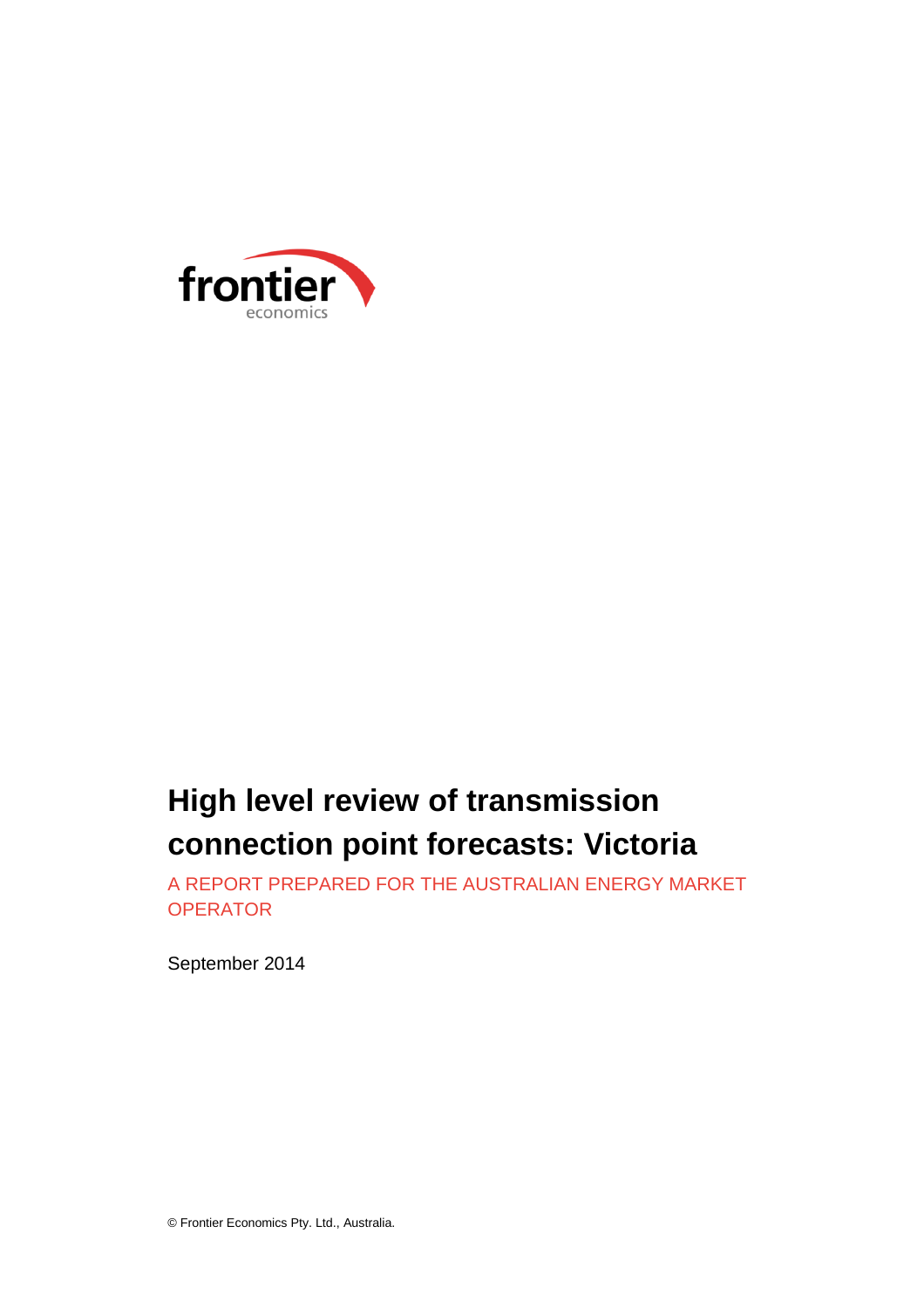

# **High level review of transmission connection point forecasts: Victoria**

A REPORT PREPARED FOR THE AUSTRALIAN ENERGY MARKET **OPERATOR** 

September 2014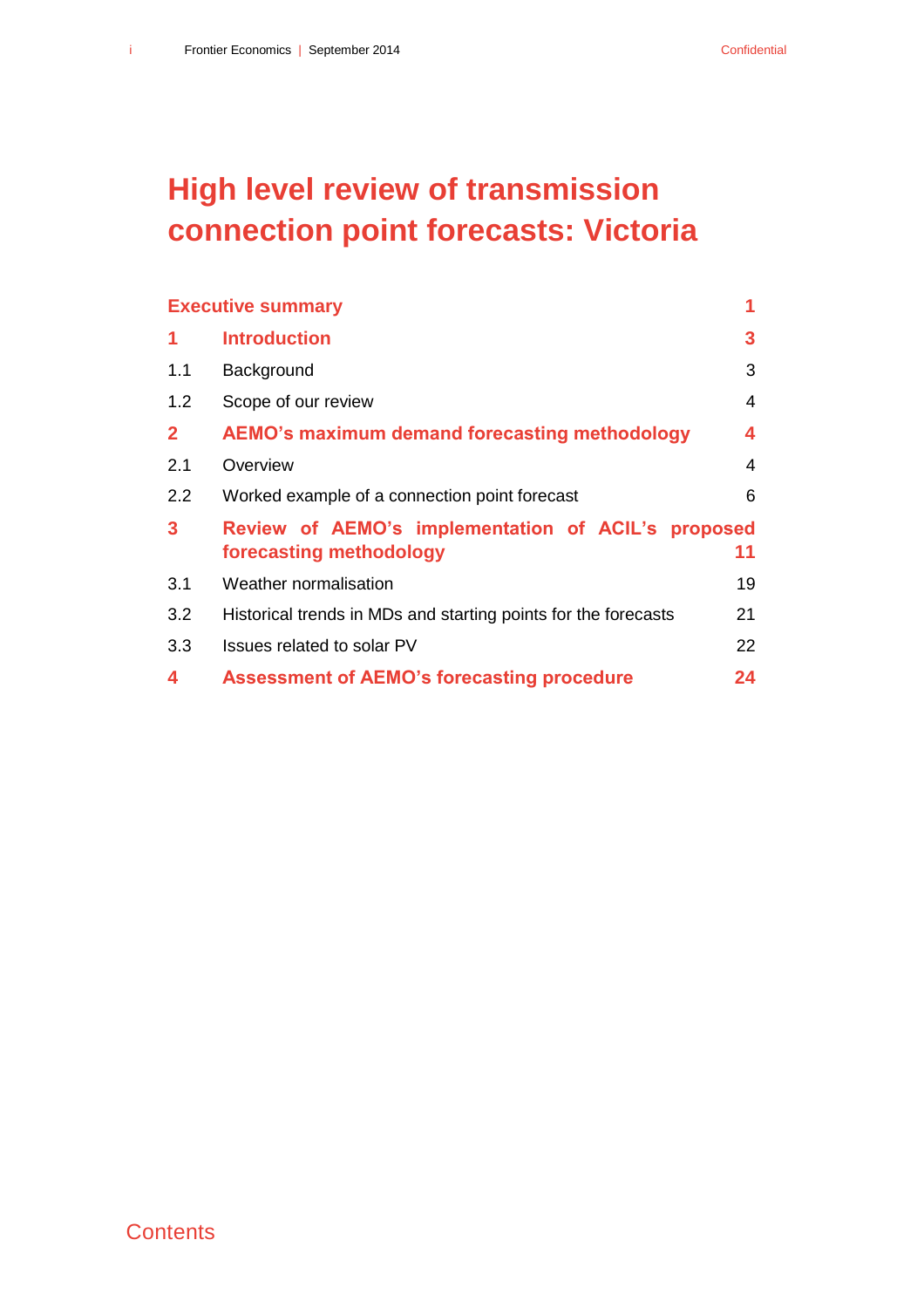# **High level review of transmission connection point forecasts: Victoria**

|              | <b>Executive summary</b>                                                         | 1  |
|--------------|----------------------------------------------------------------------------------|----|
| 1            | <b>Introduction</b>                                                              | 3  |
| 1.1          | Background                                                                       | 3  |
| 1.2          | Scope of our review                                                              | 4  |
| $\mathbf{2}$ | AEMO's maximum demand forecasting methodology                                    | 4  |
| 2.1          | Overview                                                                         | 4  |
| 2.2          | Worked example of a connection point forecast                                    | 6  |
| $\mathbf{3}$ | Review of AEMO's implementation of ACIL's<br>proposed<br>forecasting methodology | 11 |
| 3.1          | Weather normalisation                                                            | 19 |
| 3.2          | Historical trends in MDs and starting points for the forecasts                   | 21 |
| 3.3          | Issues related to solar PV                                                       | 22 |
| 4            | <b>Assessment of AEMO's forecasting procedure</b>                                | 24 |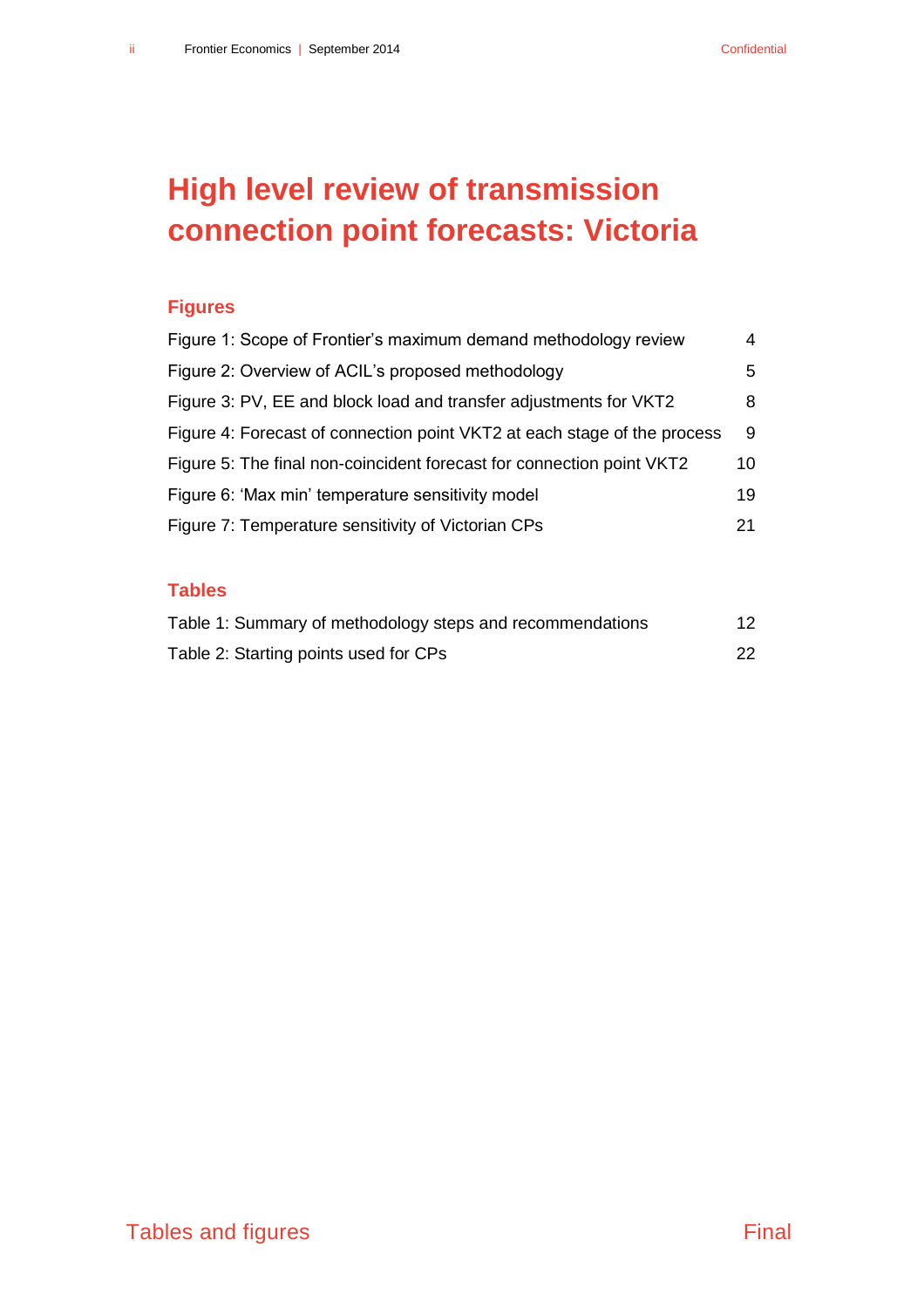# **High level review of transmission connection point forecasts: Victoria**

#### **Figures**

| Figure 1: Scope of Frontier's maximum demand methodology review          | 4  |
|--------------------------------------------------------------------------|----|
| Figure 2: Overview of ACIL's proposed methodology                        | 5  |
| Figure 3: PV, EE and block load and transfer adjustments for VKT2        | 8  |
| Figure 4: Forecast of connection point VKT2 at each stage of the process | 9  |
| Figure 5: The final non-coincident forecast for connection point VKT2    | 10 |
| Figure 6: 'Max min' temperature sensitivity model                        | 19 |
| Figure 7: Temperature sensitivity of Victorian CPs                       | 21 |

#### **Tables**

| Table 1: Summary of methodology steps and recommendations | 12 |
|-----------------------------------------------------------|----|
| Table 2: Starting points used for CPs                     | 22 |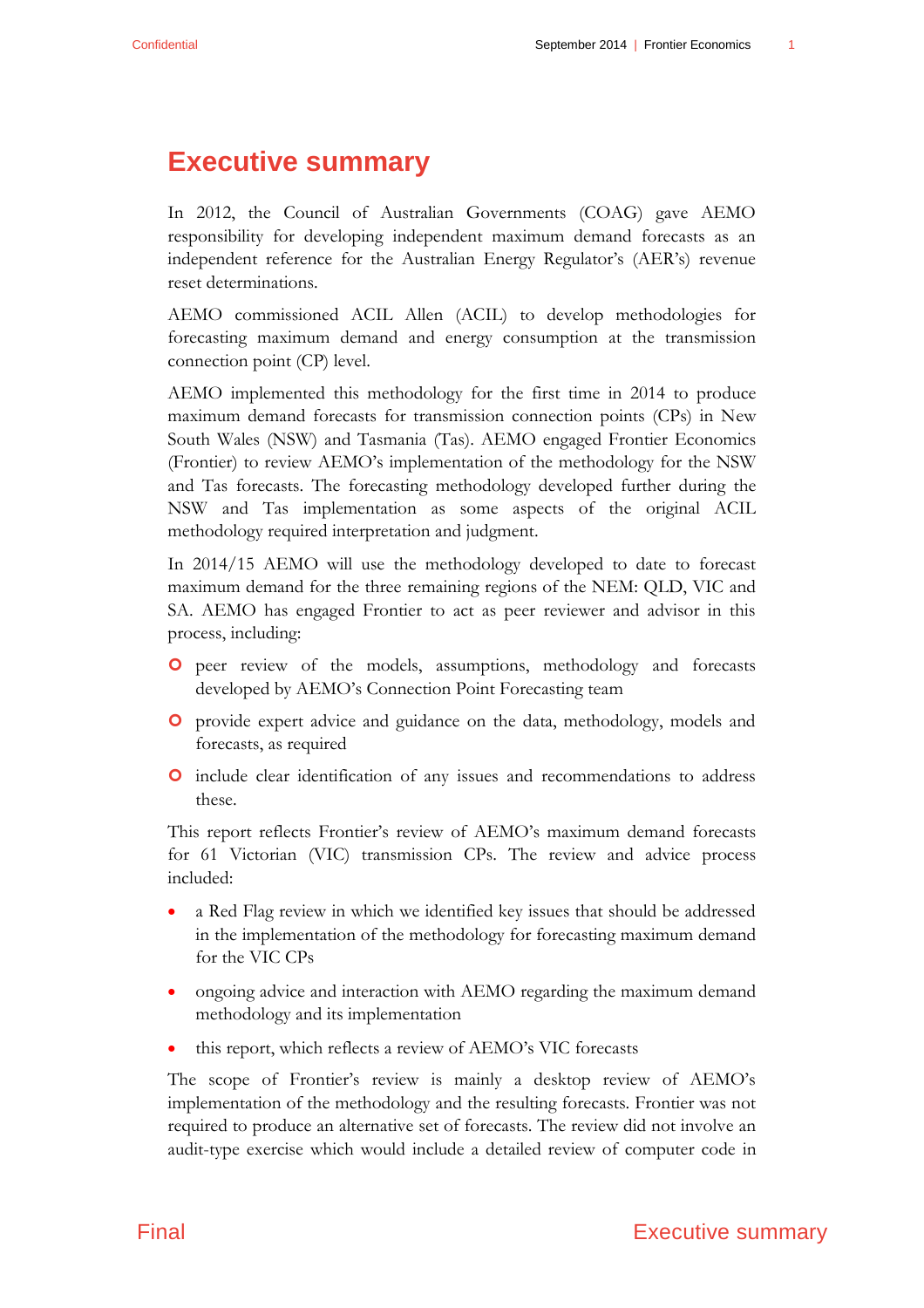## <span id="page-4-0"></span>**Executive summary**

In 2012, the Council of Australian Governments (COAG) gave AEMO responsibility for developing independent maximum demand forecasts as an independent reference for the Australian Energy Regulator's (AER's) revenue reset determinations.

AEMO commissioned ACIL Allen (ACIL) to develop methodologies for forecasting maximum demand and energy consumption at the transmission connection point (CP) level.

AEMO implemented this methodology for the first time in 2014 to produce maximum demand forecasts for transmission connection points (CPs) in New South Wales (NSW) and Tasmania (Tas). AEMO engaged Frontier Economics (Frontier) to review AEMO's implementation of the methodology for the NSW and Tas forecasts. The forecasting methodology developed further during the NSW and Tas implementation as some aspects of the original ACIL methodology required interpretation and judgment.

In 2014/15 AEMO will use the methodology developed to date to forecast maximum demand for the three remaining regions of the NEM: QLD, VIC and SA. AEMO has engaged Frontier to act as peer reviewer and advisor in this process, including:

- peer review of the models, assumptions, methodology and forecasts developed by AEMO's Connection Point Forecasting team
- provide expert advice and guidance on the data, methodology, models and forecasts, as required
- include clear identification of any issues and recommendations to address these.

This report reflects Frontier's review of AEMO's maximum demand forecasts for 61 Victorian (VIC) transmission CPs. The review and advice process included:

- a Red Flag review in which we identified key issues that should be addressed in the implementation of the methodology for forecasting maximum demand for the VIC CPs
- ongoing advice and interaction with AEMO regarding the maximum demand methodology and its implementation
- this report, which reflects a review of AEMO's VIC forecasts

The scope of Frontier's review is mainly a desktop review of AEMO's implementation of the methodology and the resulting forecasts. Frontier was not required to produce an alternative set of forecasts. The review did not involve an audit-type exercise which would include a detailed review of computer code in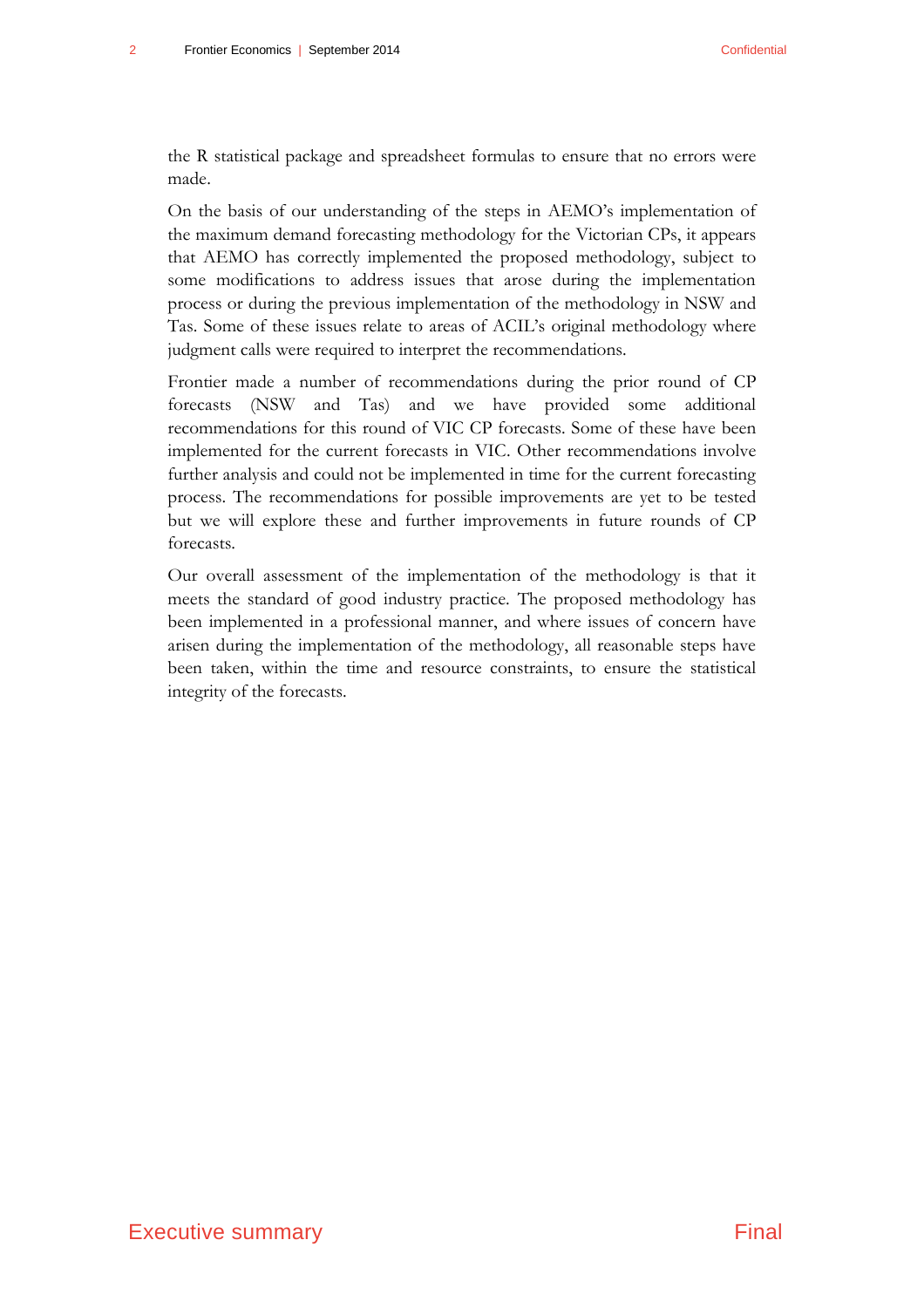the R statistical package and spreadsheet formulas to ensure that no errors were made.

On the basis of our understanding of the steps in AEMO's implementation of the maximum demand forecasting methodology for the Victorian CPs, it appears that AEMO has correctly implemented the proposed methodology, subject to some modifications to address issues that arose during the implementation process or during the previous implementation of the methodology in NSW and Tas. Some of these issues relate to areas of ACIL's original methodology where judgment calls were required to interpret the recommendations.

Frontier made a number of recommendations during the prior round of CP forecasts (NSW and Tas) and we have provided some additional recommendations for this round of VIC CP forecasts. Some of these have been implemented for the current forecasts in VIC. Other recommendations involve further analysis and could not be implemented in time for the current forecasting process. The recommendations for possible improvements are yet to be tested but we will explore these and further improvements in future rounds of CP forecasts.

Our overall assessment of the implementation of the methodology is that it meets the standard of good industry practice. The proposed methodology has been implemented in a professional manner, and where issues of concern have arisen during the implementation of the methodology, all reasonable steps have been taken, within the time and resource constraints, to ensure the statistical integrity of the forecasts.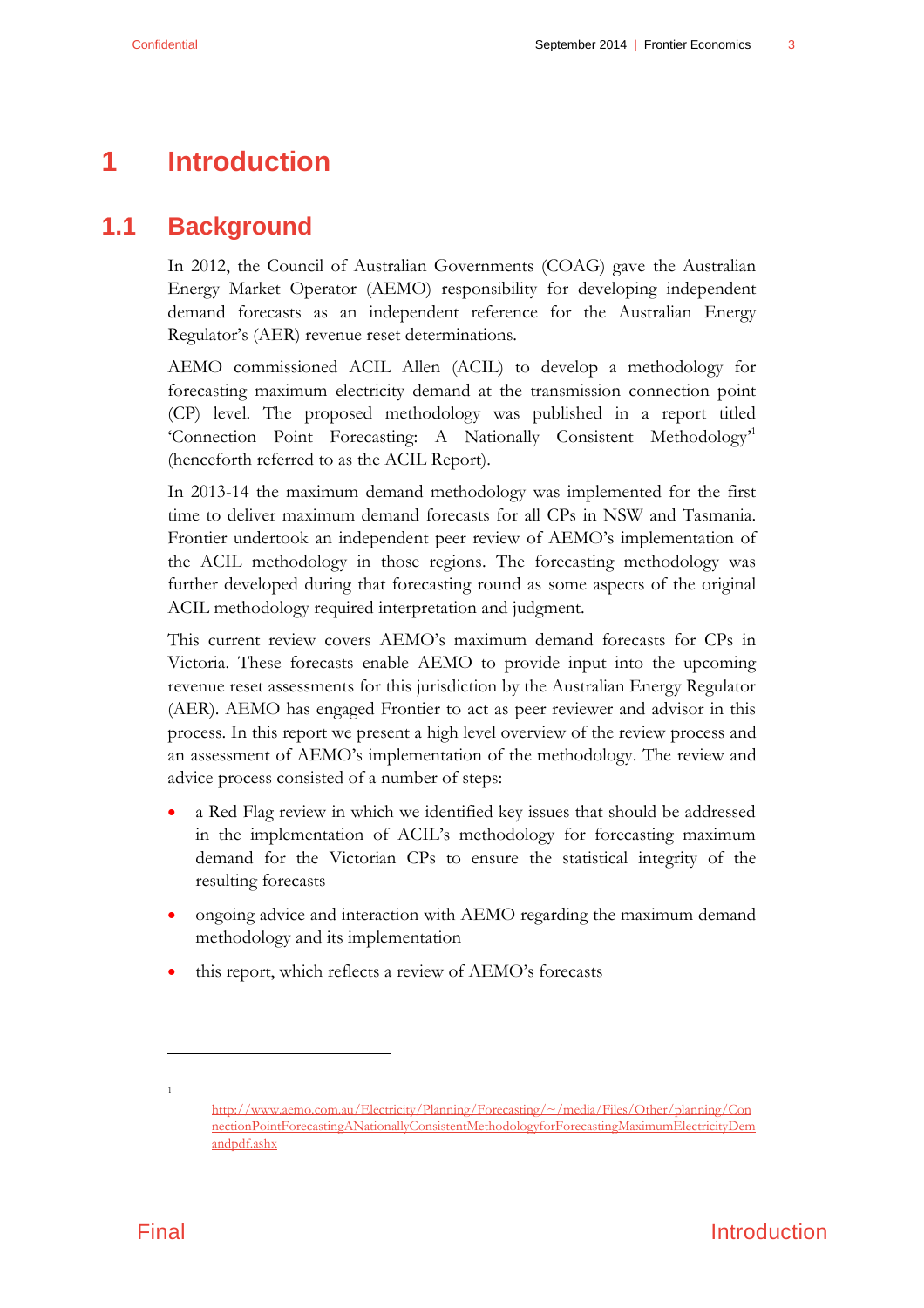## <span id="page-6-0"></span>**1 Introduction**

## **1.1 Background**

<span id="page-6-1"></span>In 2012, the Council of Australian Governments (COAG) gave the Australian Energy Market Operator (AEMO) responsibility for developing independent demand forecasts as an independent reference for the Australian Energy Regulator's (AER) revenue reset determinations.

AEMO commissioned ACIL Allen (ACIL) to develop a methodology for forecasting maximum electricity demand at the transmission connection point (CP) level. The proposed methodology was published in a report titled 'Connection Point Forecasting: A Nationally Consistent Methodology<sup>1</sup> (henceforth referred to as the ACIL Report).

In 2013-14 the maximum demand methodology was implemented for the first time to deliver maximum demand forecasts for all CPs in NSW and Tasmania. Frontier undertook an independent peer review of AEMO's implementation of the ACIL methodology in those regions. The forecasting methodology was further developed during that forecasting round as some aspects of the original ACIL methodology required interpretation and judgment.

This current review covers AEMO's maximum demand forecasts for CPs in Victoria. These forecasts enable AEMO to provide input into the upcoming revenue reset assessments for this jurisdiction by the Australian Energy Regulator (AER). AEMO has engaged Frontier to act as peer reviewer and advisor in this process. In this report we present a high level overview of the review process and an assessment of AEMO's implementation of the methodology. The review and advice process consisted of a number of steps:

- a Red Flag review in which we identified key issues that should be addressed in the implementation of ACIL's methodology for forecasting maximum demand for the Victorian CPs to ensure the statistical integrity of the resulting forecasts
- ongoing advice and interaction with AEMO regarding the maximum demand methodology and its implementation
- this report, which reflects a review of AEMO's forecasts

 $\overline{a}$ 

1

[http://www.aemo.com.au/Electricity/Planning/Forecasting/~/media/Files/Other/planning/Con](http://www.aemo.com.au/Electricity/Planning/Forecasting/~/media/Files/Other/planning/ConnectionPointForecastingANationallyConsistentMethodologyforForecastingMaximumElectricityDemandpdf.ashx) [nectionPointForecastingANationallyConsistentMethodologyforForecastingMaximumElectricityDem](http://www.aemo.com.au/Electricity/Planning/Forecasting/~/media/Files/Other/planning/ConnectionPointForecastingANationallyConsistentMethodologyforForecastingMaximumElectricityDemandpdf.ashx) [andpdf.ashx](http://www.aemo.com.au/Electricity/Planning/Forecasting/~/media/Files/Other/planning/ConnectionPointForecastingANationallyConsistentMethodologyforForecastingMaximumElectricityDemandpdf.ashx)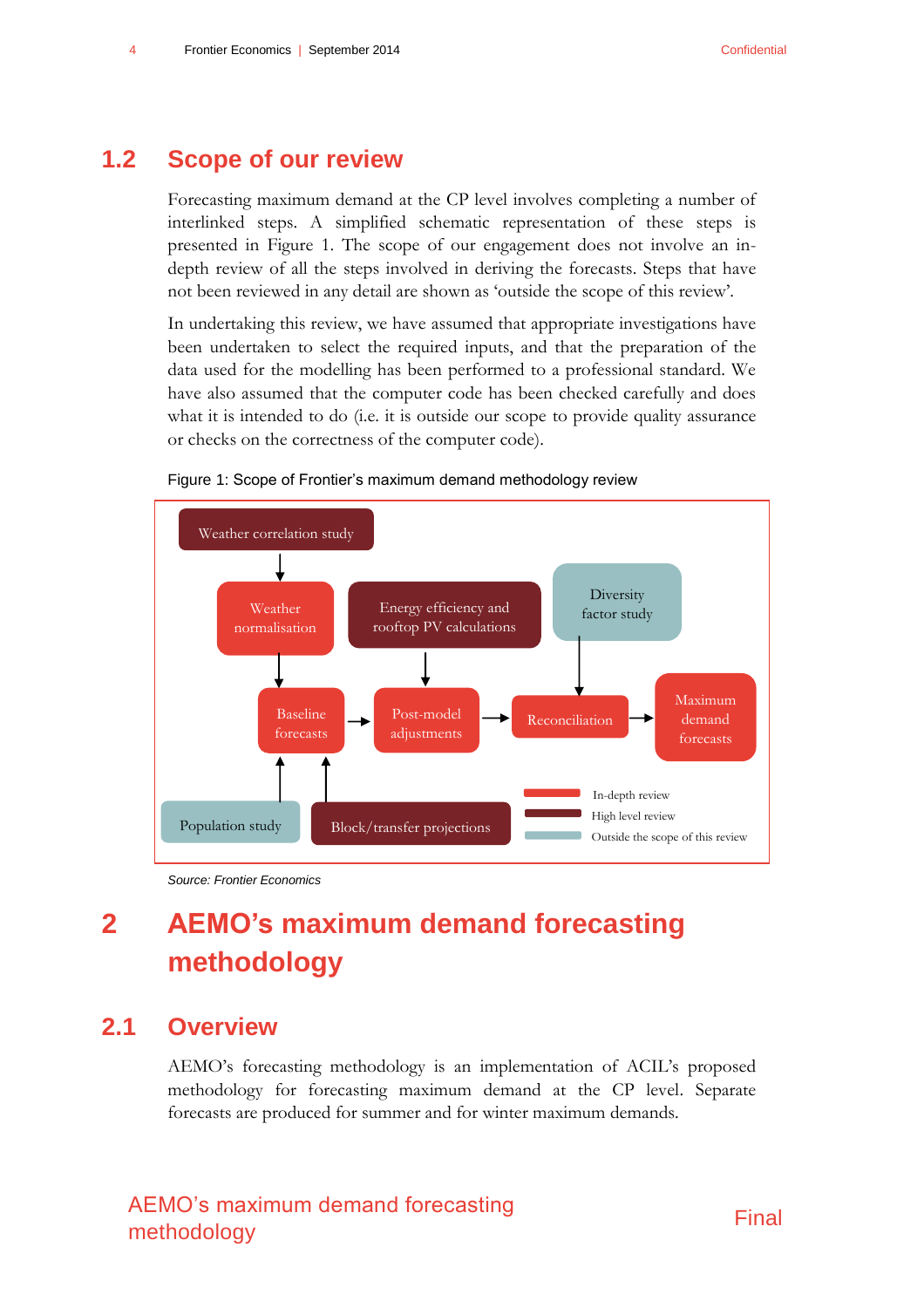### **1.2 Scope of our review**

<span id="page-7-0"></span>Forecasting maximum demand at the CP level involves completing a number of interlinked steps. A simplified schematic representation of these steps is presented in [Figure 1.](#page-7-3) The scope of our engagement does not involve an indepth review of all the steps involved in deriving the forecasts. Steps that have not been reviewed in any detail are shown as 'outside the scope of this review'.

In undertaking this review, we have assumed that appropriate investigations have been undertaken to select the required inputs, and that the preparation of the data used for the modelling has been performed to a professional standard. We have also assumed that the computer code has been checked carefully and does what it is intended to do (i.e. it is outside our scope to provide quality assurance or checks on the correctness of the computer code).



<span id="page-7-3"></span>

<span id="page-7-1"></span>*Source: Frontier Economics*

## **2 AEMO's maximum demand forecasting methodology**

### **2.1 Overview**

<span id="page-7-2"></span>AEMO's forecasting methodology is an implementation of ACIL's proposed methodology for forecasting maximum demand at the CP level. Separate forecasts are produced for summer and for winter maximum demands.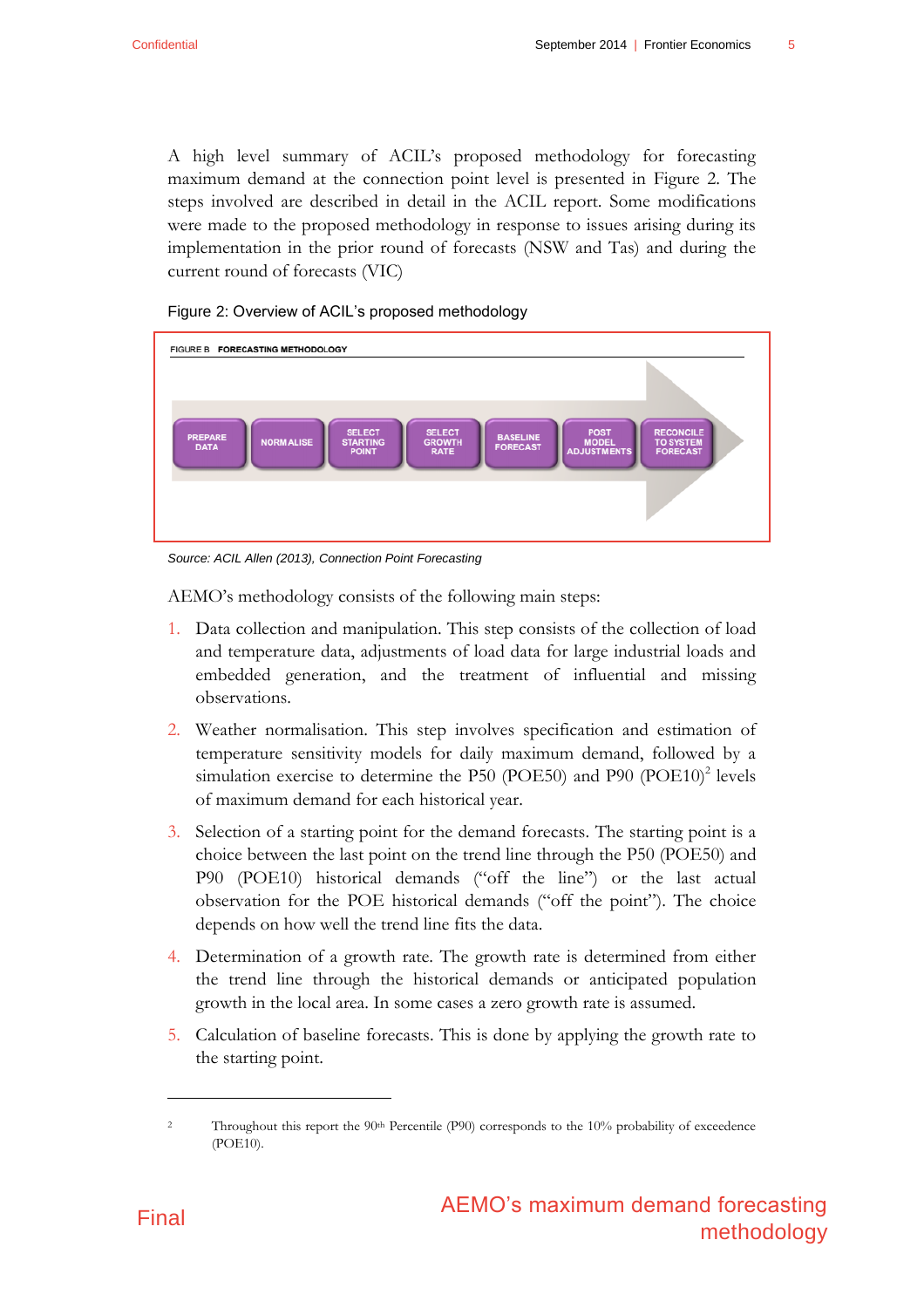A high level summary of ACIL's proposed methodology for forecasting maximum demand at the connection point level is presented in [Figure 2.](#page-8-0) The steps involved are described in detail in the ACIL report. Some modifications were made to the proposed methodology in response to issues arising during its implementation in the prior round of forecasts (NSW and Tas) and during the current round of forecasts (VIC)



<span id="page-8-0"></span>Figure 2: Overview of ACIL's proposed methodology

*Source: ACIL Allen (2013), Connection Point Forecasting*

AEMO's methodology consists of the following main steps:

- 1. Data collection and manipulation. This step consists of the collection of load and temperature data, adjustments of load data for large industrial loads and embedded generation, and the treatment of influential and missing observations.
- 2. Weather normalisation. This step involves specification and estimation of temperature sensitivity models for daily maximum demand, followed by a simulation exercise to determine the P50 (POE50) and P90  $(DOE10)^2$  levels of maximum demand for each historical year.
- 3. Selection of a starting point for the demand forecasts. The starting point is a choice between the last point on the trend line through the P50 (POE50) and P90 (POE10) historical demands ("off the line") or the last actual observation for the POE historical demands ("off the point"). The choice depends on how well the trend line fits the data.
- 4. Determination of a growth rate. The growth rate is determined from either the trend line through the historical demands or anticipated population growth in the local area. In some cases a zero growth rate is assumed.
- 5. Calculation of baseline forecasts. This is done by applying the growth rate to the starting point.



 $\overline{a}$ 

<sup>&</sup>lt;sup>2</sup> Throughout this report the 90<sup>th</sup> Percentile (P90) corresponds to the 10% probability of exceedence (POE10).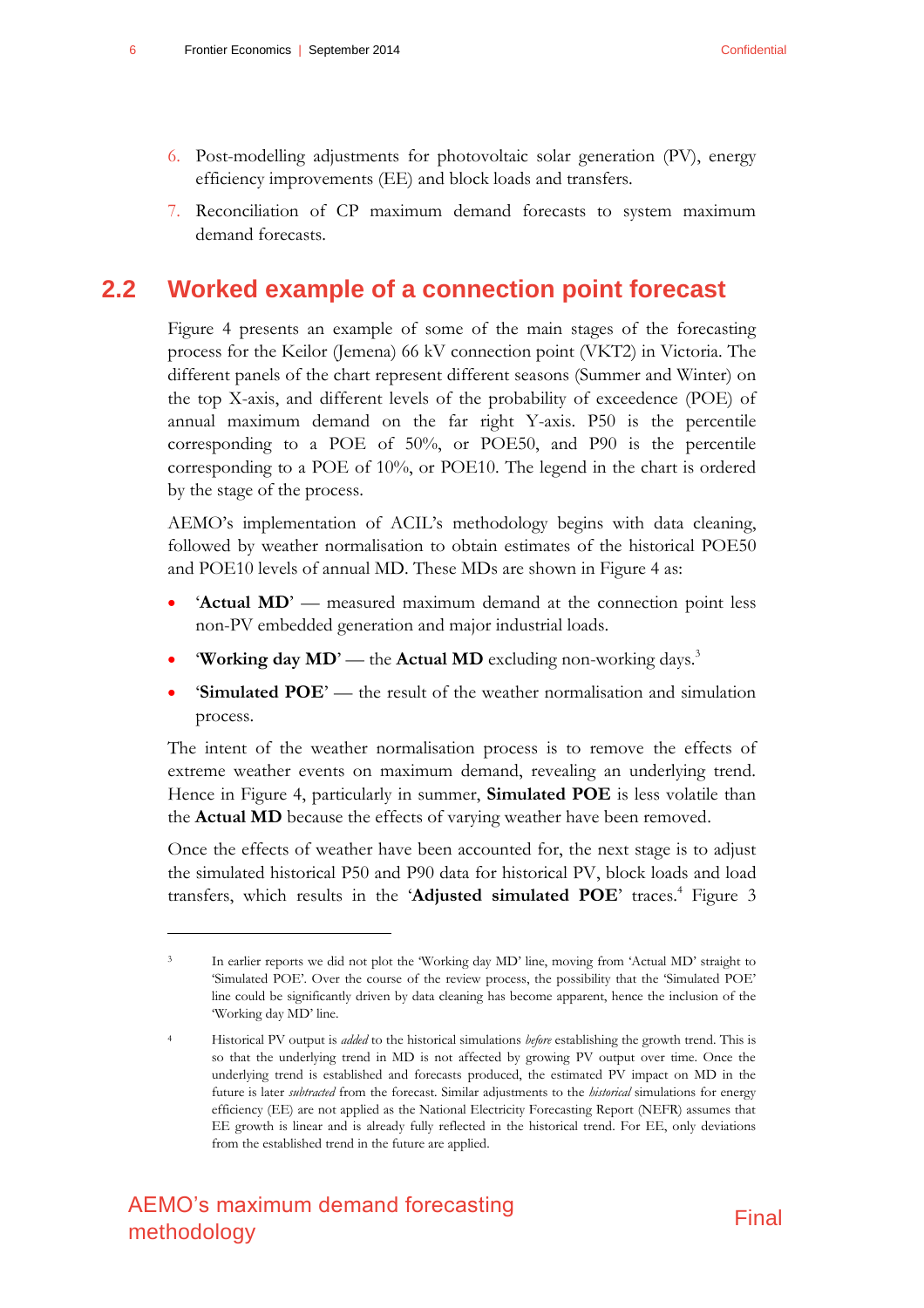- 6. Post-modelling adjustments for photovoltaic solar generation (PV), energy efficiency improvements (EE) and block loads and transfers.
- <span id="page-9-0"></span>7. Reconciliation of CP maximum demand forecasts to system maximum demand forecasts.

### **2.2 Worked example of a connection point forecast**

[Figure 4](#page-12-0) presents an example of some of the main stages of the forecasting process for the Keilor (Jemena) 66 kV connection point (VKT2) in Victoria. The different panels of the chart represent different seasons (Summer and Winter) on the top X-axis, and different levels of the probability of exceedence (POE) of annual maximum demand on the far right Y-axis. P50 is the percentile corresponding to a POE of 50%, or POE50, and P90 is the percentile corresponding to a POE of 10%, or POE10. The legend in the chart is ordered by the stage of the process.

AEMO's implementation of ACIL's methodology begins with data cleaning, followed by weather normalisation to obtain estimates of the historical POE50 and POE10 levels of annual MD. These MDs are shown in [Figure 4](#page-12-0) as:

- 'Actual MD' measured maximum demand at the connection point less non-PV embedded generation and major industrial loads.
- **Working day MD'** the **Actual MD** excluding non-working days.<sup>3</sup>
- '**Simulated POE**' the result of the weather normalisation and simulation process.

The intent of the weather normalisation process is to remove the effects of extreme weather events on maximum demand, revealing an underlying trend. Hence in [Figure 4,](#page-12-0) particularly in summer, **Simulated POE** is less volatile than the **Actual MD** because the effects of varying weather have been removed.

Once the effects of weather have been accounted for, the next stage is to adjust the simulated historical P50 and P90 data for historical PV, block loads and load transfers, which results in the '**Adjusted simulated POE**' traces. <sup>4</sup> [Figure 3](#page-11-0)

l



<sup>3</sup> In earlier reports we did not plot the 'Working day MD' line, moving from 'Actual MD' straight to 'Simulated POE'. Over the course of the review process, the possibility that the 'Simulated POE' line could be significantly driven by data cleaning has become apparent, hence the inclusion of the 'Working day MD' line.

<sup>4</sup> Historical PV output is *added* to the historical simulations *before* establishing the growth trend. This is so that the underlying trend in MD is not affected by growing PV output over time. Once the underlying trend is established and forecasts produced, the estimated PV impact on MD in the future is later *subtracted* from the forecast. Similar adjustments to the *historical* simulations for energy efficiency (EE) are not applied as the National Electricity Forecasting Report (NEFR) assumes that EE growth is linear and is already fully reflected in the historical trend. For EE, only deviations from the established trend in the future are applied.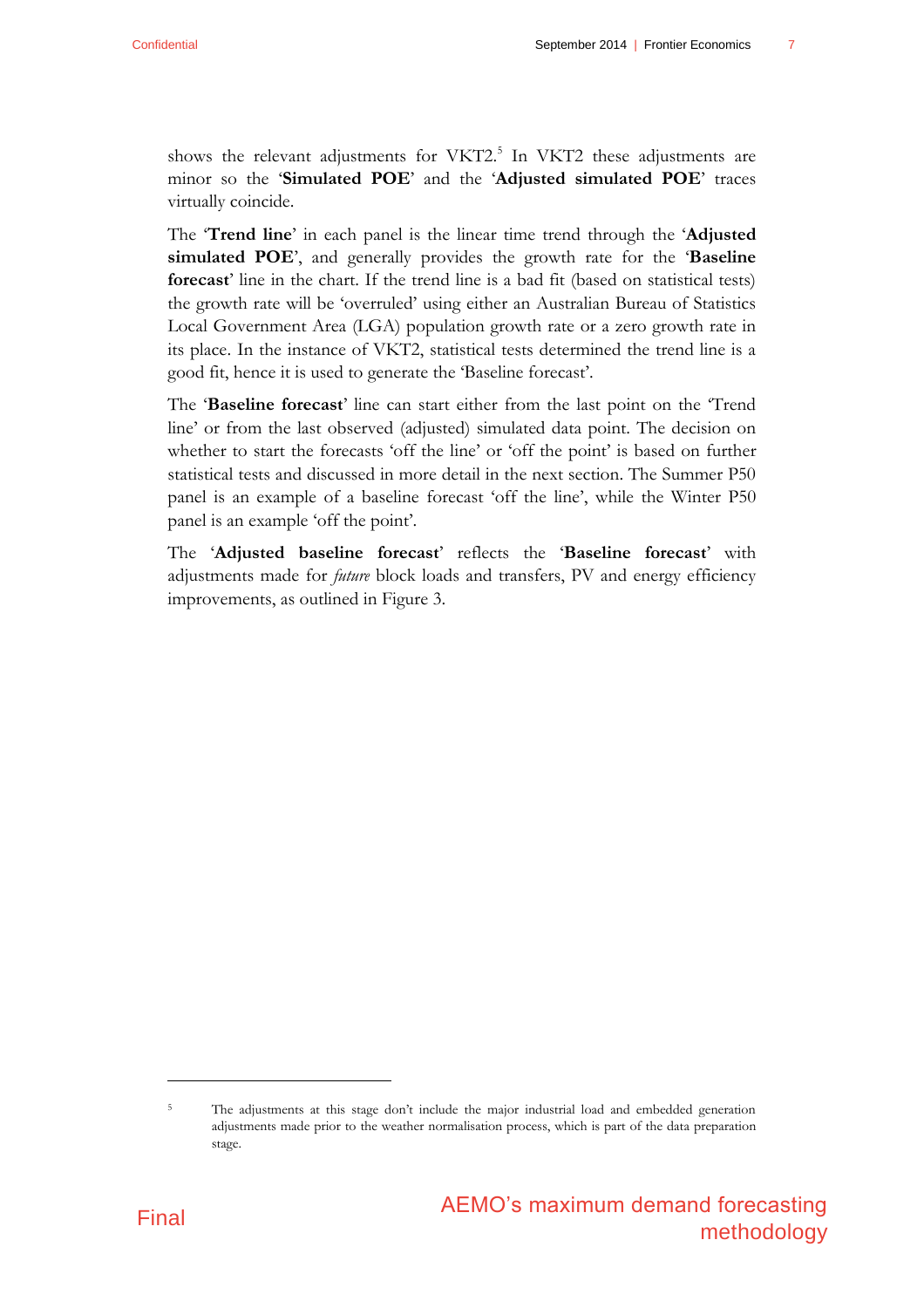shows the relevant adjustments for VKT2. 5 In VKT2 these adjustments are minor so the '**Simulated POE**' and the '**Adjusted simulated POE**' traces virtually coincide.

The '**Trend line**' in each panel is the linear time trend through the '**Adjusted simulated POE**', and generally provides the growth rate for the '**Baseline forecast**' line in the chart. If the trend line is a bad fit (based on statistical tests) the growth rate will be 'overruled' using either an Australian Bureau of Statistics Local Government Area (LGA) population growth rate or a zero growth rate in its place. In the instance of VKT2, statistical tests determined the trend line is a good fit, hence it is used to generate the 'Baseline forecast'.

The '**Baseline forecast**' line can start either from the last point on the 'Trend line' or from the last observed (adjusted) simulated data point. The decision on whether to start the forecasts 'off the line' or 'off the point' is based on further statistical tests and discussed in more detail in the next section. The Summer P50 panel is an example of a baseline forecast 'off the line', while the Winter P50 panel is an example 'off the point'.

The '**Adjusted baseline forecast**' reflects the '**Baseline forecast**' with adjustments made for *future* block loads and transfers, PV and energy efficiency improvements, as outlined in [Figure 3.](#page-11-0)



 $\overline{a}$ 

<sup>5</sup> The adjustments at this stage don't include the major industrial load and embedded generation adjustments made prior to the weather normalisation process, which is part of the data preparation stage.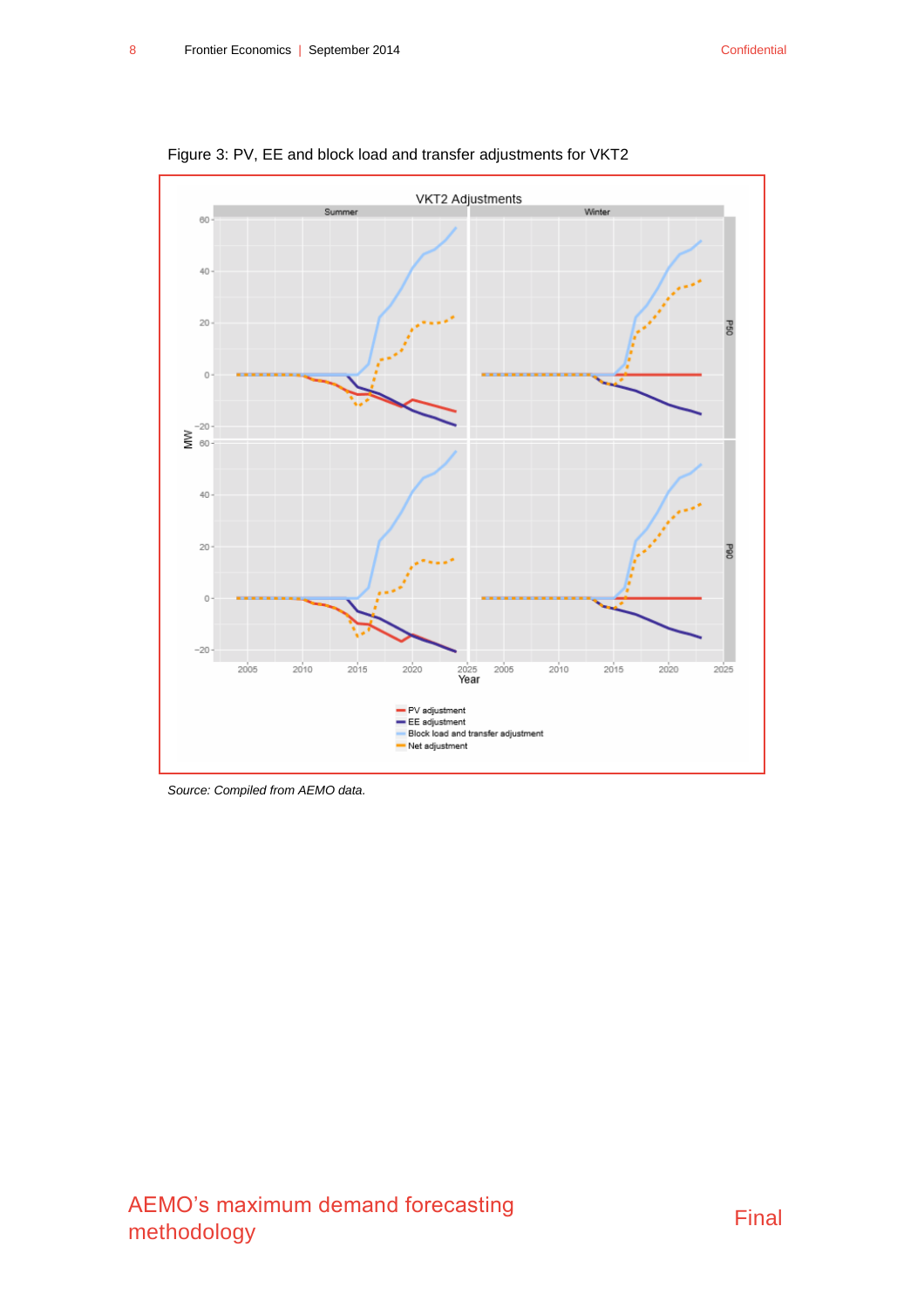

<span id="page-11-0"></span>Figure 3: PV, EE and block load and transfer adjustments for VKT2

*Source: Compiled from AEMO data.*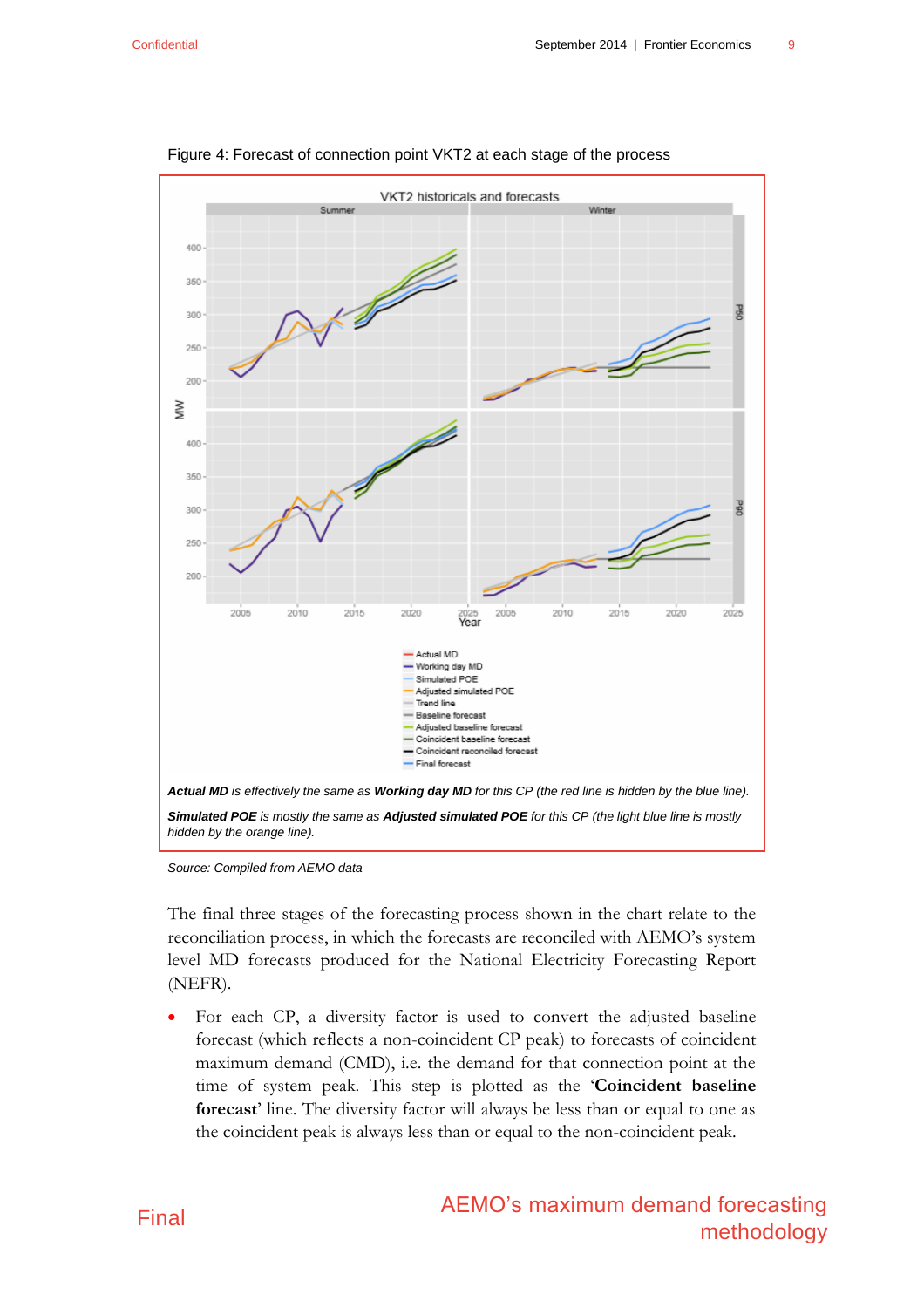

<span id="page-12-0"></span>

*Source: Compiled from AEMO data*

The final three stages of the forecasting process shown in the chart relate to the reconciliation process, in which the forecasts are reconciled with AEMO's system level MD forecasts produced for the National Electricity Forecasting Report (NEFR).

 For each CP, a diversity factor is used to convert the adjusted baseline forecast (which reflects a non-coincident CP peak) to forecasts of coincident maximum demand (CMD), i.e. the demand for that connection point at the time of system peak. This step is plotted as the '**Coincident baseline forecast**' line. The diversity factor will always be less than or equal to one as the coincident peak is always less than or equal to the non-coincident peak.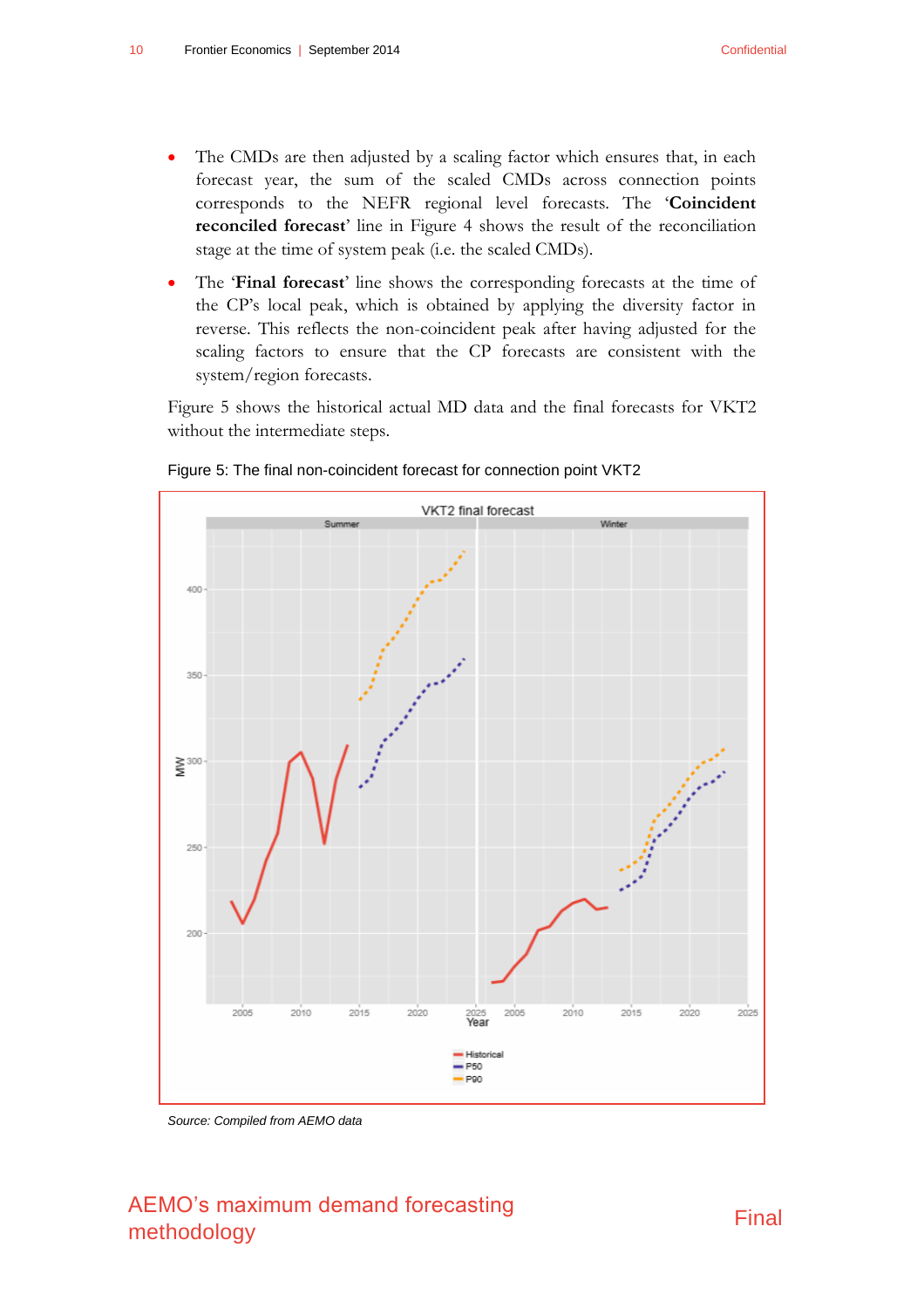- The CMDs are then adjusted by a scaling factor which ensures that, in each forecast year, the sum of the scaled CMDs across connection points corresponds to the NEFR regional level forecasts. The '**Coincident reconciled forecast**' line in [Figure 4](#page-12-0) shows the result of the reconciliation stage at the time of system peak (i.e. the scaled CMDs).
- The '**Final forecast**' line shows the corresponding forecasts at the time of the CP's local peak, which is obtained by applying the diversity factor in reverse. This reflects the non-coincident peak after having adjusted for the scaling factors to ensure that the CP forecasts are consistent with the system/region forecasts.

[Figure 5](#page-13-0) shows the historical actual MD data and the final forecasts for VKT2 without the intermediate steps.



<span id="page-13-0"></span>Figure 5: The final non-coincident forecast for connection point VKT2

*Source: Compiled from AEMO data*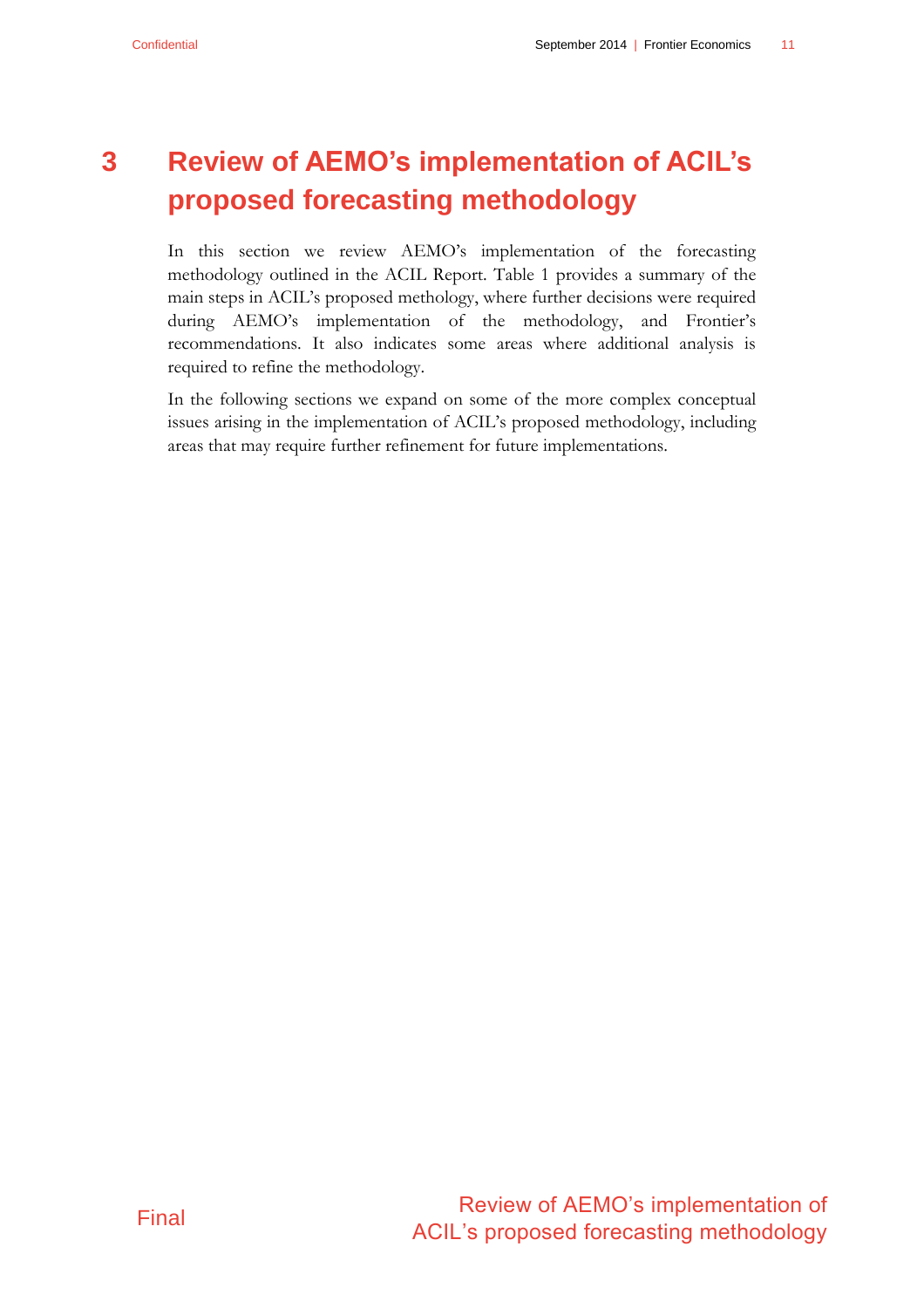## <span id="page-14-0"></span>**3 Review of AEMO's implementation of ACIL's proposed forecasting methodology**

In this section we review AEMO's implementation of the forecasting methodology outlined in the ACIL Report. [Table 1](#page-15-0) provides a summary of the main steps in ACIL's proposed methology, where further decisions were required during AEMO's implementation of the methodology, and Frontier's recommendations. It also indicates some areas where additional analysis is required to refine the methodology.

In the following sections we expand on some of the more complex conceptual issues arising in the implementation of ACIL's proposed methodology, including areas that may require further refinement for future implementations.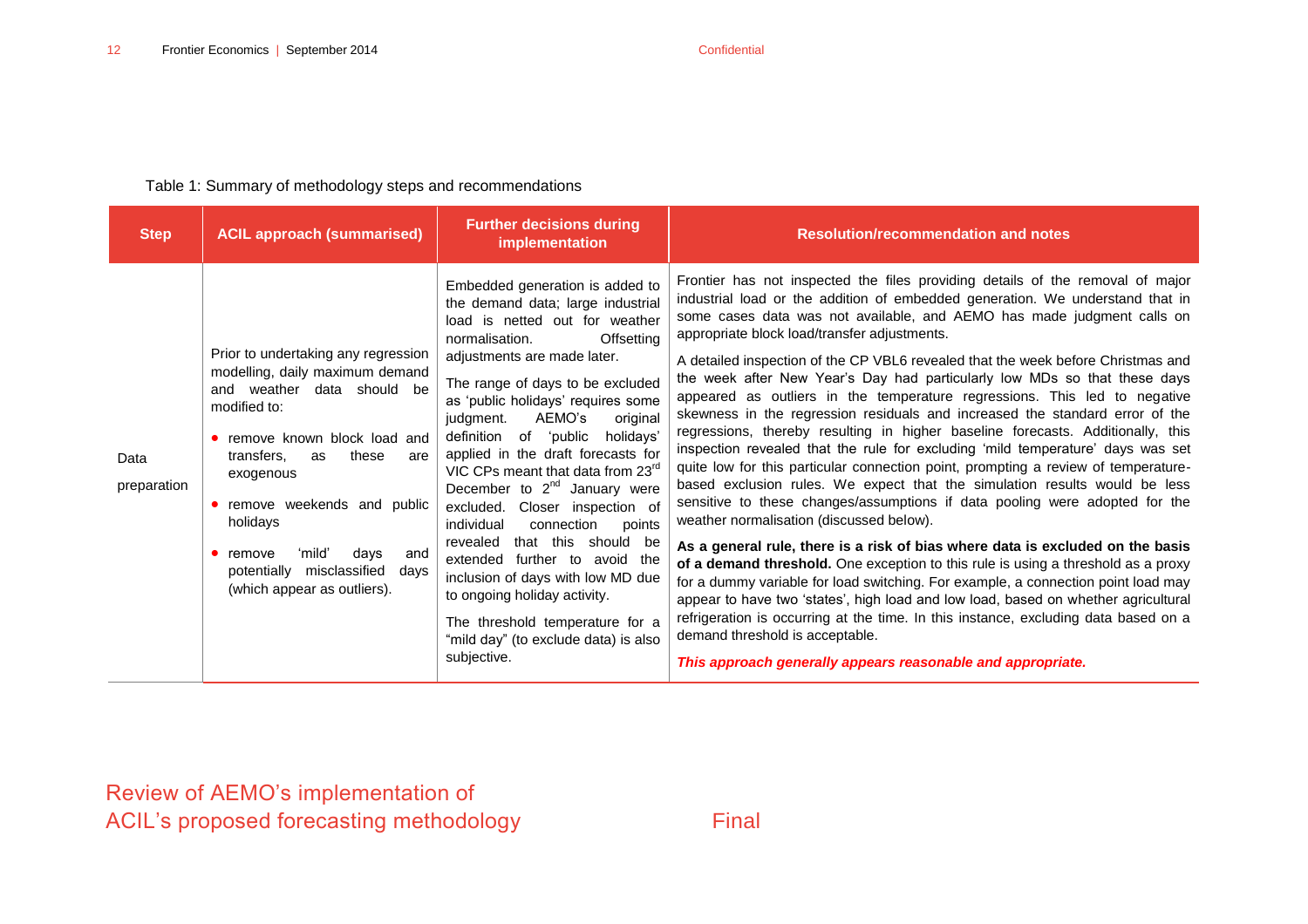#### Table 1: Summary of methodology steps and recommendations

<span id="page-15-0"></span>

| <b>Step</b>         | <b>ACIL approach (summarised)</b>                                                                                                                                                                                                                                                                                                                                      | <b>Further decisions during</b><br>implementation                                                                                                                                                                                                                                                                                                                                                                                                                                                                                                                                                                                                                                                                                                               | <b>Resolution/recommendation and notes</b>                                                                                                                                                                                                                                                                                                                                                                                                                                                                                                                                                                                                                                                                                                                                                                                                                                                                                                                                                                                                                                                                                                                                                                                                                                                                                                                                                                                                                                                                                                                                                                                              |
|---------------------|------------------------------------------------------------------------------------------------------------------------------------------------------------------------------------------------------------------------------------------------------------------------------------------------------------------------------------------------------------------------|-----------------------------------------------------------------------------------------------------------------------------------------------------------------------------------------------------------------------------------------------------------------------------------------------------------------------------------------------------------------------------------------------------------------------------------------------------------------------------------------------------------------------------------------------------------------------------------------------------------------------------------------------------------------------------------------------------------------------------------------------------------------|-----------------------------------------------------------------------------------------------------------------------------------------------------------------------------------------------------------------------------------------------------------------------------------------------------------------------------------------------------------------------------------------------------------------------------------------------------------------------------------------------------------------------------------------------------------------------------------------------------------------------------------------------------------------------------------------------------------------------------------------------------------------------------------------------------------------------------------------------------------------------------------------------------------------------------------------------------------------------------------------------------------------------------------------------------------------------------------------------------------------------------------------------------------------------------------------------------------------------------------------------------------------------------------------------------------------------------------------------------------------------------------------------------------------------------------------------------------------------------------------------------------------------------------------------------------------------------------------------------------------------------------------|
| Data<br>preparation | Prior to undertaking any regression<br>modelling, daily maximum demand<br>and weather data should be<br>modified to:<br>• remove known block load and<br>transfers,<br>these<br>as<br>are<br>exogenous<br>• remove weekends and public<br>holidays<br>ʻmildʻ<br>$\bullet$ remove<br>days<br>and<br>misclassified<br>potentially<br>days<br>(which appear as outliers). | Embedded generation is added to<br>the demand data; large industrial<br>load is netted out for weather<br>normalisation.<br>Offsetting<br>adjustments are made later.<br>The range of days to be excluded<br>as 'public holidays' requires some<br>AEMO's<br>judgment.<br>original<br>definition of 'public<br>holidavs'<br>applied in the draft forecasts for<br>VIC CPs meant that data from 23 <sup>rd</sup><br>December to $2^{nd}$ January were<br>excluded. Closer inspection of<br>individual<br>connection<br>points<br>that this should be<br>revealed<br>extended further to avoid the<br>inclusion of days with low MD due<br>to ongoing holiday activity.<br>The threshold temperature for a<br>"mild day" (to exclude data) is also<br>subjective. | Frontier has not inspected the files providing details of the removal of major<br>industrial load or the addition of embedded generation. We understand that in<br>some cases data was not available, and AEMO has made judgment calls on<br>appropriate block load/transfer adjustments.<br>A detailed inspection of the CP VBL6 revealed that the week before Christmas and<br>the week after New Year's Day had particularly low MDs so that these days<br>appeared as outliers in the temperature regressions. This led to negative<br>skewness in the regression residuals and increased the standard error of the<br>regressions, thereby resulting in higher baseline forecasts. Additionally, this<br>inspection revealed that the rule for excluding 'mild temperature' days was set<br>quite low for this particular connection point, prompting a review of temperature-<br>based exclusion rules. We expect that the simulation results would be less<br>sensitive to these changes/assumptions if data pooling were adopted for the<br>weather normalisation (discussed below).<br>As a general rule, there is a risk of bias where data is excluded on the basis<br>of a demand threshold. One exception to this rule is using a threshold as a proxy<br>for a dummy variable for load switching. For example, a connection point load may<br>appear to have two 'states', high load and low load, based on whether agricultural<br>refrigeration is occurring at the time. In this instance, excluding data based on a<br>demand threshold is acceptable.<br>This approach generally appears reasonable and appropriate. |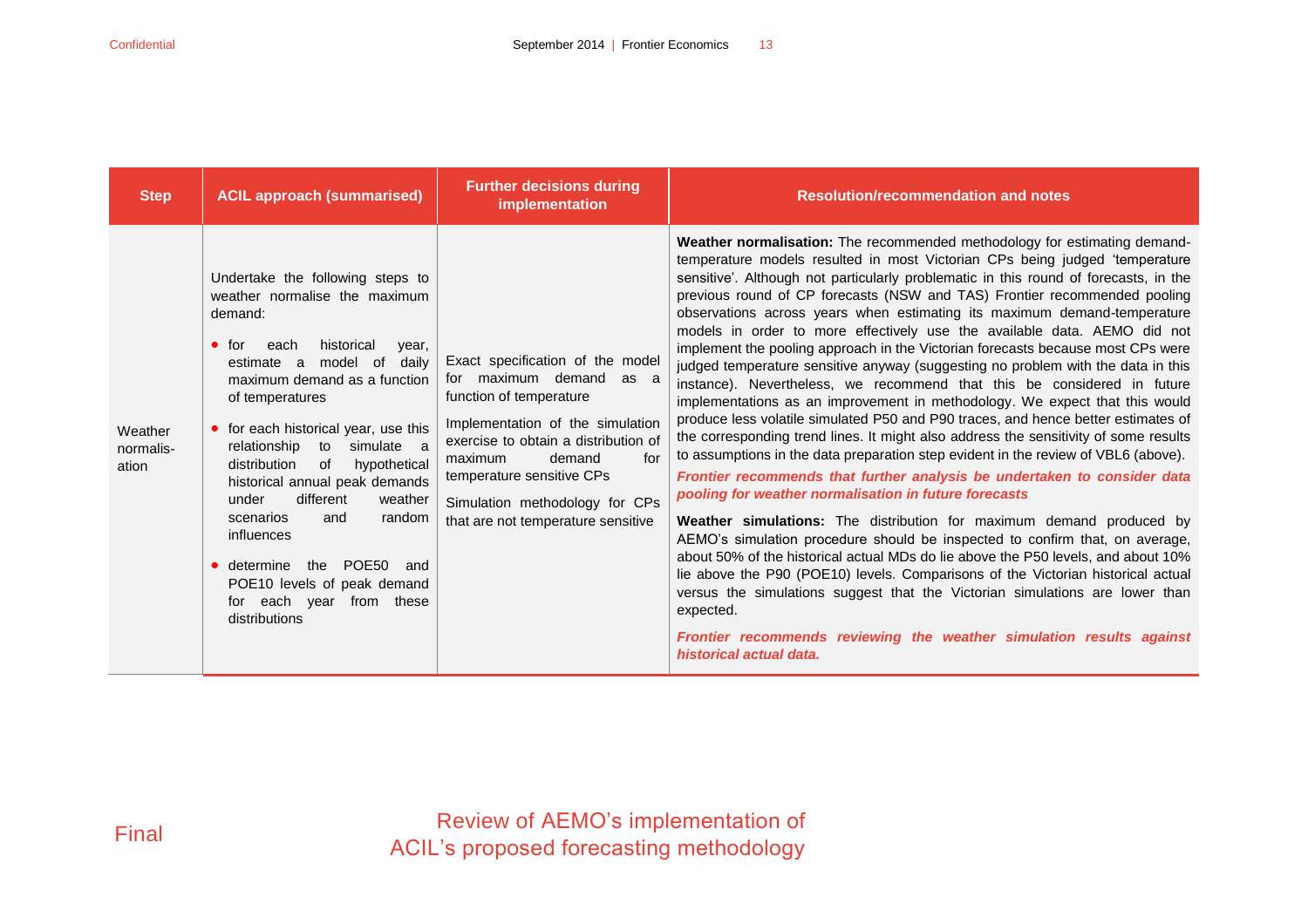| <b>Step</b>                   | <b>ACIL approach (summarised)</b>                                                                                                                                                                                                                                                                                                                                                                                                                                                                                                                                | <b>Further decisions during</b><br>implementation                                                                                                                                                                                                                                                   | <b>Resolution/recommendation and notes</b>                                                                                                                                                                                                                                                                                                                                                                                                                                                                                                                                                                                                                                                                                                                                                                                                                                                                                                                                                                                                                                                                                                                                                                                                                                                                                                                                                                                                                                                                                                                                                                                                                                                                                                                             |
|-------------------------------|------------------------------------------------------------------------------------------------------------------------------------------------------------------------------------------------------------------------------------------------------------------------------------------------------------------------------------------------------------------------------------------------------------------------------------------------------------------------------------------------------------------------------------------------------------------|-----------------------------------------------------------------------------------------------------------------------------------------------------------------------------------------------------------------------------------------------------------------------------------------------------|------------------------------------------------------------------------------------------------------------------------------------------------------------------------------------------------------------------------------------------------------------------------------------------------------------------------------------------------------------------------------------------------------------------------------------------------------------------------------------------------------------------------------------------------------------------------------------------------------------------------------------------------------------------------------------------------------------------------------------------------------------------------------------------------------------------------------------------------------------------------------------------------------------------------------------------------------------------------------------------------------------------------------------------------------------------------------------------------------------------------------------------------------------------------------------------------------------------------------------------------------------------------------------------------------------------------------------------------------------------------------------------------------------------------------------------------------------------------------------------------------------------------------------------------------------------------------------------------------------------------------------------------------------------------------------------------------------------------------------------------------------------------|
| Weather<br>normalis-<br>ation | Undertake the following steps to<br>weather normalise the maximum<br>demand:<br>historical<br>$\bullet$ for<br>each<br>year,<br>model of<br>dailv<br>estimate a<br>maximum demand as a function<br>of temperatures<br>• for each historical year, use this<br>relationship<br>simulate a<br>to<br>hypothetical<br>of<br>distribution<br>historical annual peak demands<br>different<br>under<br>weather<br>scenarios<br>random<br>and<br>influences<br>POE50<br>determine the<br>and<br>POE10 levels of peak demand<br>for each year from these<br>distributions | Exact specification of the model<br>for maximum demand as a<br>function of temperature<br>Implementation of the simulation<br>exercise to obtain a distribution of<br>for<br>demand<br>maximum<br>temperature sensitive CPs<br>Simulation methodology for CPs<br>that are not temperature sensitive | Weather normalisation: The recommended methodology for estimating demand-<br>temperature models resulted in most Victorian CPs being judged 'temperature<br>sensitive'. Although not particularly problematic in this round of forecasts, in the<br>previous round of CP forecasts (NSW and TAS) Frontier recommended pooling<br>observations across years when estimating its maximum demand-temperature<br>models in order to more effectively use the available data. AEMO did not<br>implement the pooling approach in the Victorian forecasts because most CPs were<br>judged temperature sensitive anyway (suggesting no problem with the data in this<br>instance). Nevertheless, we recommend that this be considered in future<br>implementations as an improvement in methodology. We expect that this would<br>produce less volatile simulated P50 and P90 traces, and hence better estimates of<br>the corresponding trend lines. It might also address the sensitivity of some results<br>to assumptions in the data preparation step evident in the review of VBL6 (above).<br>Frontier recommends that further analysis be undertaken to consider data<br>pooling for weather normalisation in future forecasts<br><b>Weather simulations:</b> The distribution for maximum demand produced by<br>AEMO's simulation procedure should be inspected to confirm that, on average,<br>about 50% of the historical actual MDs do lie above the P50 levels, and about 10%<br>lie above the P90 (POE10) levels. Comparisons of the Victorian historical actual<br>versus the simulations suggest that the Victorian simulations are lower than<br>expected.<br>Frontier recommends reviewing the weather simulation results against<br>historical actual data. |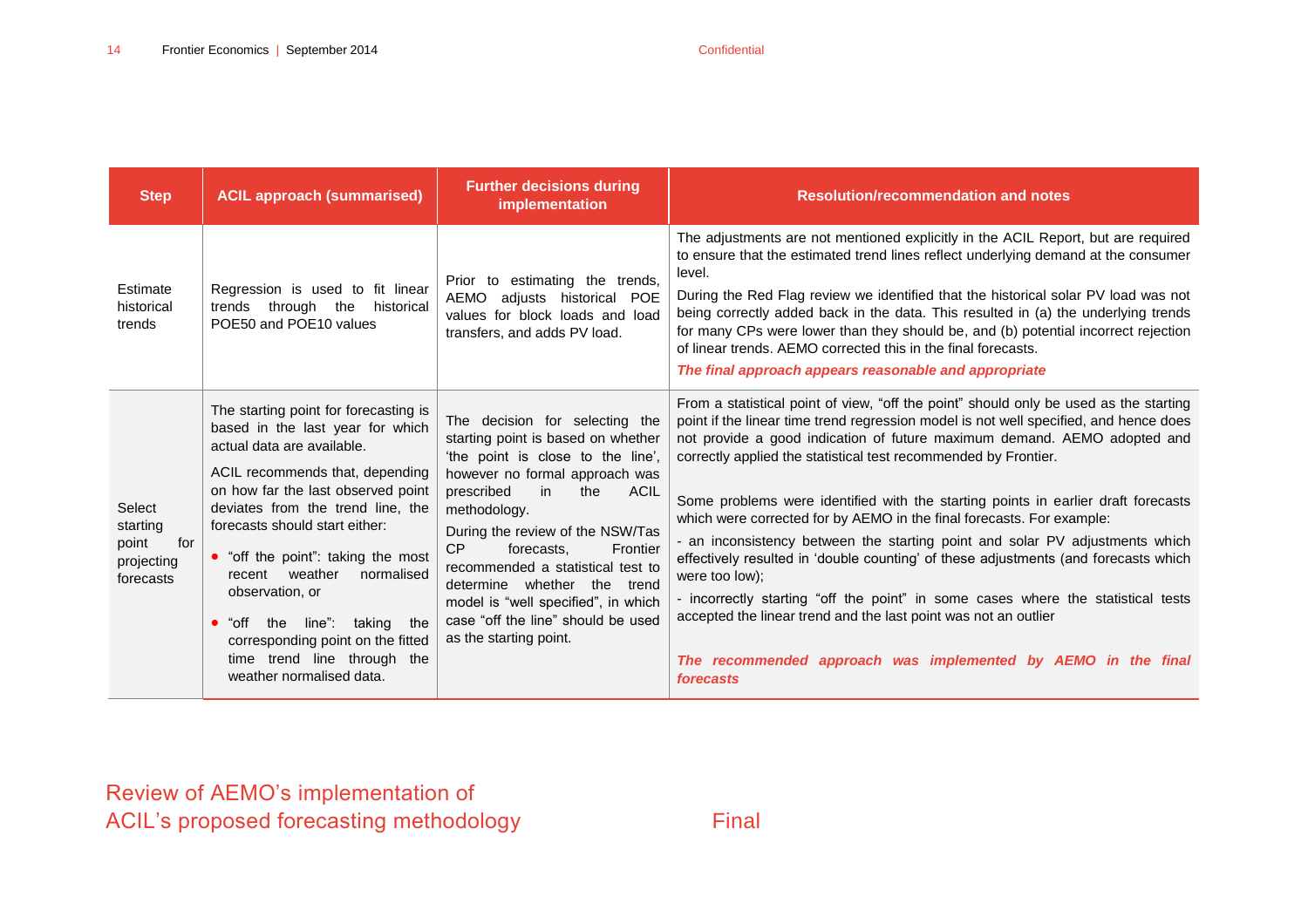| <b>Step</b>                                                   | <b>ACIL approach (summarised)</b>                                                                                                                                                                                                                                                                                                                                                                                                                                                                          | <b>Further decisions during</b><br>implementation                                                                                                                                                                                                                                                                                                                                                                                                       | <b>Resolution/recommendation and notes</b>                                                                                                                                                                                                                                                                                                                                                                                                                                                                                                                                                                                                                                                                                                                                                                                                                                                                                |
|---------------------------------------------------------------|------------------------------------------------------------------------------------------------------------------------------------------------------------------------------------------------------------------------------------------------------------------------------------------------------------------------------------------------------------------------------------------------------------------------------------------------------------------------------------------------------------|---------------------------------------------------------------------------------------------------------------------------------------------------------------------------------------------------------------------------------------------------------------------------------------------------------------------------------------------------------------------------------------------------------------------------------------------------------|---------------------------------------------------------------------------------------------------------------------------------------------------------------------------------------------------------------------------------------------------------------------------------------------------------------------------------------------------------------------------------------------------------------------------------------------------------------------------------------------------------------------------------------------------------------------------------------------------------------------------------------------------------------------------------------------------------------------------------------------------------------------------------------------------------------------------------------------------------------------------------------------------------------------------|
| Estimate<br>historical<br>trends                              | Regression is used to fit linear<br>trends through the<br>historical<br>POE50 and POE10 values                                                                                                                                                                                                                                                                                                                                                                                                             | Prior to estimating the trends,<br>AEMO<br>adjusts historical POE<br>values for block loads and load<br>transfers, and adds PV load.                                                                                                                                                                                                                                                                                                                    | The adjustments are not mentioned explicitly in the ACIL Report, but are required<br>to ensure that the estimated trend lines reflect underlying demand at the consumer<br>level.<br>During the Red Flag review we identified that the historical solar PV load was not<br>being correctly added back in the data. This resulted in (a) the underlying trends<br>for many CPs were lower than they should be, and (b) potential incorrect rejection<br>of linear trends. AEMO corrected this in the final forecasts.<br>The final approach appears reasonable and appropriate                                                                                                                                                                                                                                                                                                                                             |
| Select<br>starting<br>point<br>for<br>projecting<br>forecasts | The starting point for forecasting is<br>based in the last year for which<br>actual data are available.<br>ACIL recommends that, depending<br>on how far the last observed point<br>deviates from the trend line, the<br>forecasts should start either:<br>• "off the point": taking the most<br>weather<br>normalised<br>recent<br>observation, or<br>taking<br>"off<br>the<br>line":<br>the<br>$\bullet$<br>corresponding point on the fitted<br>time trend line through the<br>weather normalised data. | The decision for selecting the<br>starting point is based on whether<br>'the point is close to the line',<br>however no formal approach was<br><b>ACIL</b><br>prescribed<br>in<br>the<br>methodology.<br>During the review of the NSW/Tas<br>CP<br>forecasts.<br>Frontier<br>recommended a statistical test to<br>determine whether the<br>trend<br>model is "well specified", in which<br>case "off the line" should be used<br>as the starting point. | From a statistical point of view, "off the point" should only be used as the starting<br>point if the linear time trend regression model is not well specified, and hence does<br>not provide a good indication of future maximum demand. AEMO adopted and<br>correctly applied the statistical test recommended by Frontier.<br>Some problems were identified with the starting points in earlier draft forecasts<br>which were corrected for by AEMO in the final forecasts. For example:<br>- an inconsistency between the starting point and solar PV adjustments which<br>effectively resulted in 'double counting' of these adjustments (and forecasts which<br>were too low);<br>- incorrectly starting "off the point" in some cases where the statistical tests<br>accepted the linear trend and the last point was not an outlier<br>The recommended approach was implemented by AEMO in the final<br>forecasts |

Review of AEMO's implementation of ACIL's proposed forecasting methodology Final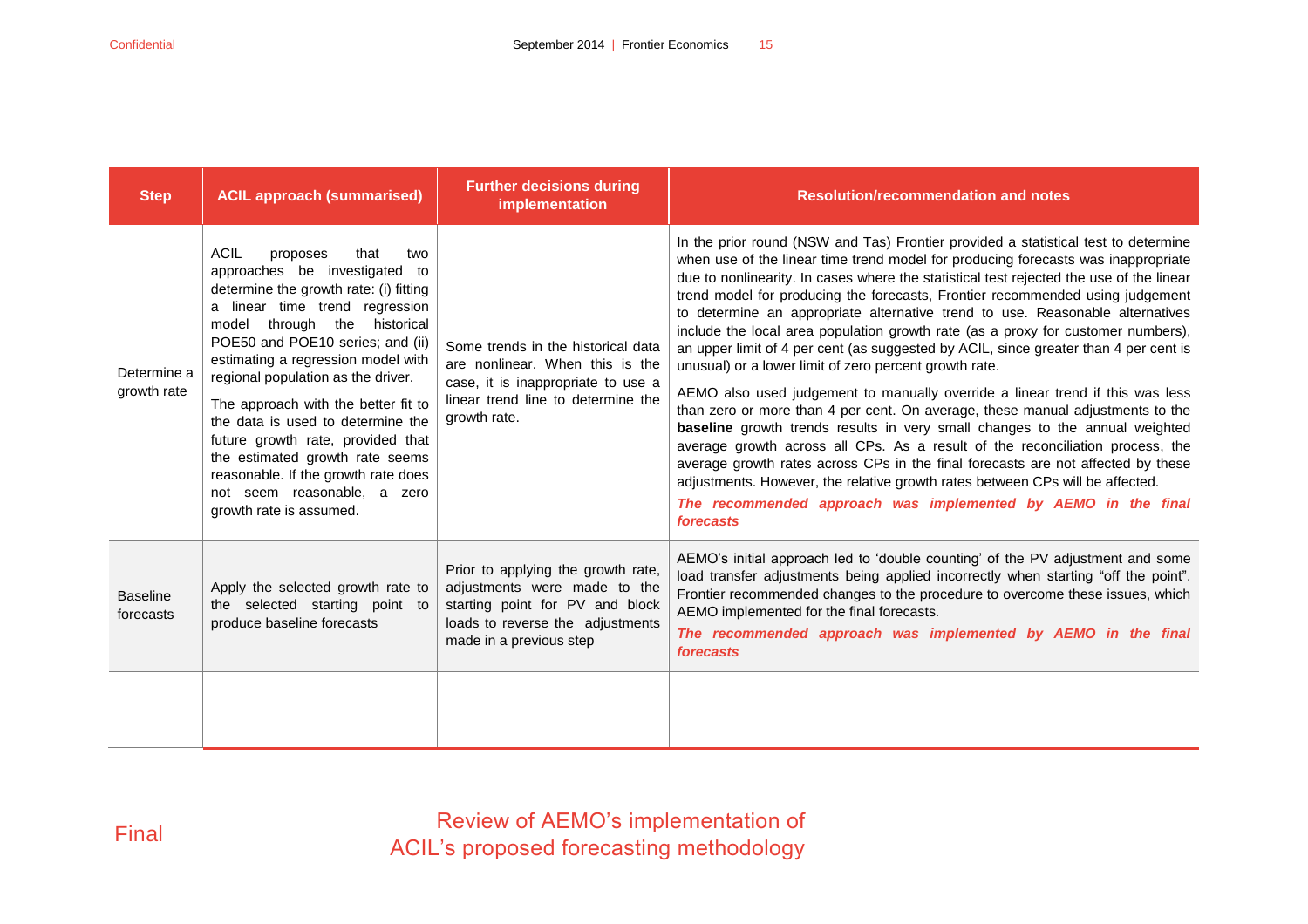| <b>Step</b>                  | <b>ACIL approach (summarised)</b>                                                                                                                                                                                                                                                                                                                                                                                                                                                                                                                           | <b>Further decisions during</b><br>implementation                                                                                                                    | <b>Resolution/recommendation and notes</b>                                                                                                                                                                                                                                                                                                                                                                                                                                                                                                                                                                                                                                                                                                                                                                                                                                                                                                                                                                                                                                                                                                                                                                                                                       |  |
|------------------------------|-------------------------------------------------------------------------------------------------------------------------------------------------------------------------------------------------------------------------------------------------------------------------------------------------------------------------------------------------------------------------------------------------------------------------------------------------------------------------------------------------------------------------------------------------------------|----------------------------------------------------------------------------------------------------------------------------------------------------------------------|------------------------------------------------------------------------------------------------------------------------------------------------------------------------------------------------------------------------------------------------------------------------------------------------------------------------------------------------------------------------------------------------------------------------------------------------------------------------------------------------------------------------------------------------------------------------------------------------------------------------------------------------------------------------------------------------------------------------------------------------------------------------------------------------------------------------------------------------------------------------------------------------------------------------------------------------------------------------------------------------------------------------------------------------------------------------------------------------------------------------------------------------------------------------------------------------------------------------------------------------------------------|--|
| Determine a<br>growth rate   | <b>ACIL</b><br>that<br>proposes<br>two<br>approaches be investigated to<br>determine the growth rate: (i) fitting<br>a linear time trend regression<br>model through the<br>historical<br>POE50 and POE10 series; and (ii)<br>estimating a regression model with<br>regional population as the driver.<br>The approach with the better fit to<br>the data is used to determine the<br>future growth rate, provided that<br>the estimated growth rate seems<br>reasonable. If the growth rate does<br>not seem reasonable, a zero<br>growth rate is assumed. | Some trends in the historical data<br>are nonlinear. When this is the<br>case, it is inappropriate to use a<br>linear trend line to determine the<br>growth rate.    | In the prior round (NSW and Tas) Frontier provided a statistical test to determine<br>when use of the linear time trend model for producing forecasts was inappropriate<br>due to nonlinearity. In cases where the statistical test rejected the use of the linear<br>trend model for producing the forecasts, Frontier recommended using judgement<br>to determine an appropriate alternative trend to use. Reasonable alternatives<br>include the local area population growth rate (as a proxy for customer numbers),<br>an upper limit of 4 per cent (as suggested by ACIL, since greater than 4 per cent is<br>unusual) or a lower limit of zero percent growth rate.<br>AEMO also used judgement to manually override a linear trend if this was less<br>than zero or more than 4 per cent. On average, these manual adjustments to the<br>baseline growth trends results in very small changes to the annual weighted<br>average growth across all CPs. As a result of the reconciliation process, the<br>average growth rates across CPs in the final forecasts are not affected by these<br>adjustments. However, the relative growth rates between CPs will be affected.<br>The recommended approach was implemented by AEMO in the final<br>forecasts |  |
| <b>Baseline</b><br>forecasts | Apply the selected growth rate to<br>the selected starting point to<br>produce baseline forecasts                                                                                                                                                                                                                                                                                                                                                                                                                                                           | Prior to applying the growth rate,<br>adjustments were made to the<br>starting point for PV and block<br>loads to reverse the adjustments<br>made in a previous step | AEMO's initial approach led to 'double counting' of the PV adjustment and some<br>load transfer adjustments being applied incorrectly when starting "off the point".<br>Frontier recommended changes to the procedure to overcome these issues, which<br>AEMO implemented for the final forecasts.<br>The recommended approach was implemented by AEMO in the final<br>forecasts                                                                                                                                                                                                                                                                                                                                                                                                                                                                                                                                                                                                                                                                                                                                                                                                                                                                                 |  |
|                              |                                                                                                                                                                                                                                                                                                                                                                                                                                                                                                                                                             |                                                                                                                                                                      |                                                                                                                                                                                                                                                                                                                                                                                                                                                                                                                                                                                                                                                                                                                                                                                                                                                                                                                                                                                                                                                                                                                                                                                                                                                                  |  |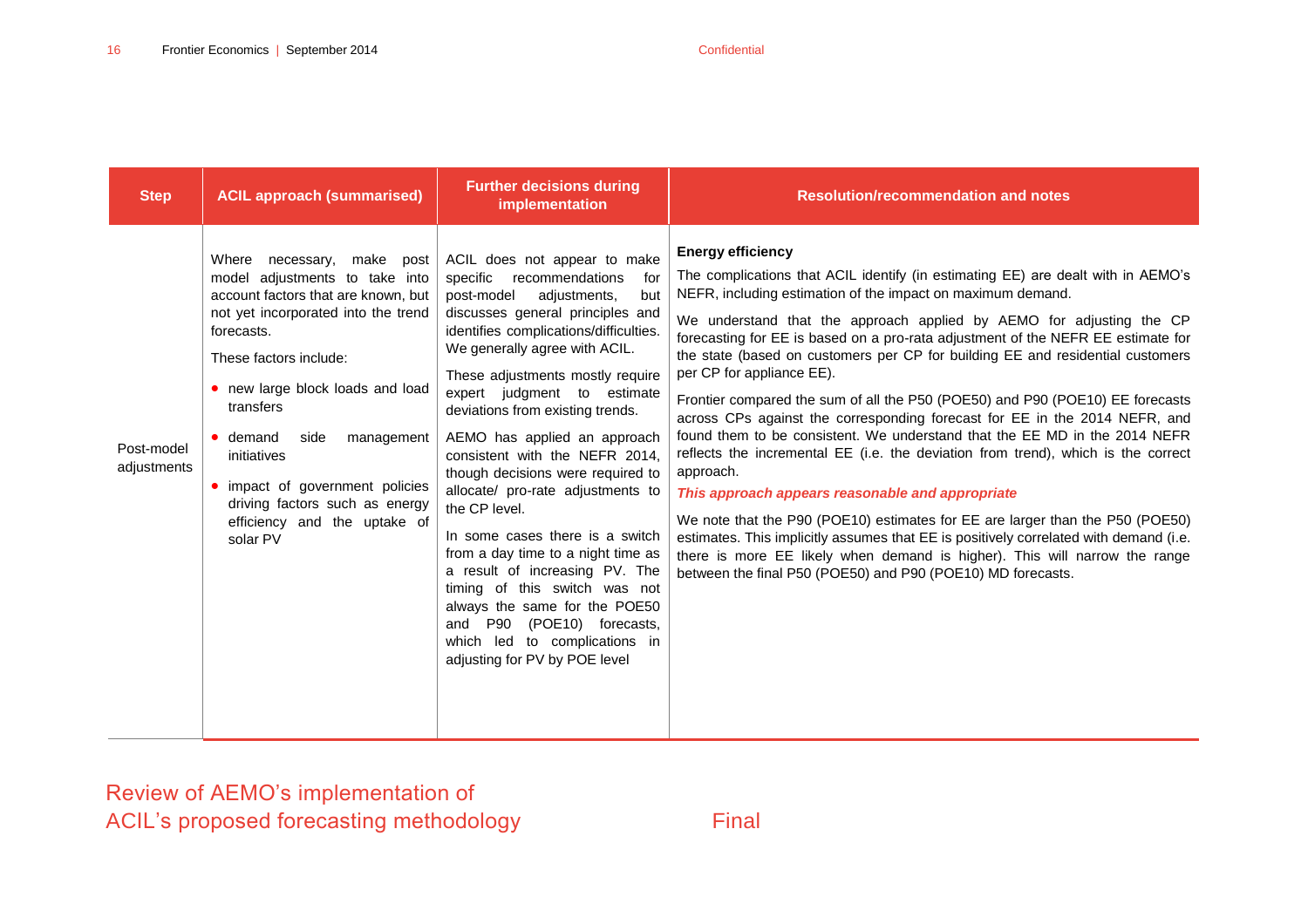| <b>Step</b>               | <b>ACIL approach (summarised)</b>                                                                                                                                                                                                                                                                                                                                                                     | <b>Further decisions during</b><br>implementation                                                                                                                                                                                                                                                                                                                                                                                                                                                                                                                                                                                                                                                                                                                       | <b>Resolution/recommendation and notes</b>                                                                                                                                                                                                                                                                                                                                                                                                                                                                                                                                                                                                                                                                                                                                                                                                                                                                                                                                                                                                                                                                                                                                       |
|---------------------------|-------------------------------------------------------------------------------------------------------------------------------------------------------------------------------------------------------------------------------------------------------------------------------------------------------------------------------------------------------------------------------------------------------|-------------------------------------------------------------------------------------------------------------------------------------------------------------------------------------------------------------------------------------------------------------------------------------------------------------------------------------------------------------------------------------------------------------------------------------------------------------------------------------------------------------------------------------------------------------------------------------------------------------------------------------------------------------------------------------------------------------------------------------------------------------------------|----------------------------------------------------------------------------------------------------------------------------------------------------------------------------------------------------------------------------------------------------------------------------------------------------------------------------------------------------------------------------------------------------------------------------------------------------------------------------------------------------------------------------------------------------------------------------------------------------------------------------------------------------------------------------------------------------------------------------------------------------------------------------------------------------------------------------------------------------------------------------------------------------------------------------------------------------------------------------------------------------------------------------------------------------------------------------------------------------------------------------------------------------------------------------------|
| Post-model<br>adjustments | Where necessary, make post<br>model adjustments to take into<br>account factors that are known, but<br>not yet incorporated into the trend<br>forecasts.<br>These factors include:<br>• new large block loads and load<br>transfers<br>• demand<br>side<br>management<br>initiatives<br>• impact of government policies<br>driving factors such as energy<br>efficiency and the uptake of<br>solar PV | ACIL does not appear to make<br>specific recommendations<br>for<br>post-model<br>adjustments,<br>but<br>discusses general principles and<br>identifies complications/difficulties.<br>We generally agree with ACIL.<br>These adjustments mostly require<br>expert judgment to estimate<br>deviations from existing trends.<br>AEMO has applied an approach<br>consistent with the NEFR 2014,<br>though decisions were required to<br>allocate/ pro-rate adjustments to<br>the CP level.<br>In some cases there is a switch<br>from a day time to a night time as<br>a result of increasing PV. The<br>timing of this switch was not<br>always the same for the POE50<br>and P90 (POE10) forecasts,<br>to complications in<br>which led<br>adjusting for PV by POE level | <b>Energy efficiency</b><br>The complications that ACIL identify (in estimating EE) are dealt with in AEMO's<br>NEFR, including estimation of the impact on maximum demand.<br>We understand that the approach applied by AEMO for adjusting the CP<br>forecasting for EE is based on a pro-rata adjustment of the NEFR EE estimate for<br>the state (based on customers per CP for building EE and residential customers<br>per CP for appliance EE).<br>Frontier compared the sum of all the P50 (POE50) and P90 (POE10) EE forecasts<br>across CPs against the corresponding forecast for EE in the 2014 NEFR, and<br>found them to be consistent. We understand that the EE MD in the 2014 NEFR<br>reflects the incremental EE (i.e. the deviation from trend), which is the correct<br>approach.<br>This approach appears reasonable and appropriate<br>We note that the P90 (POE10) estimates for EE are larger than the P50 (POE50)<br>estimates. This implicitly assumes that EE is positively correlated with demand (i.e.<br>there is more EE likely when demand is higher). This will narrow the range<br>between the final P50 (POE50) and P90 (POE10) MD forecasts. |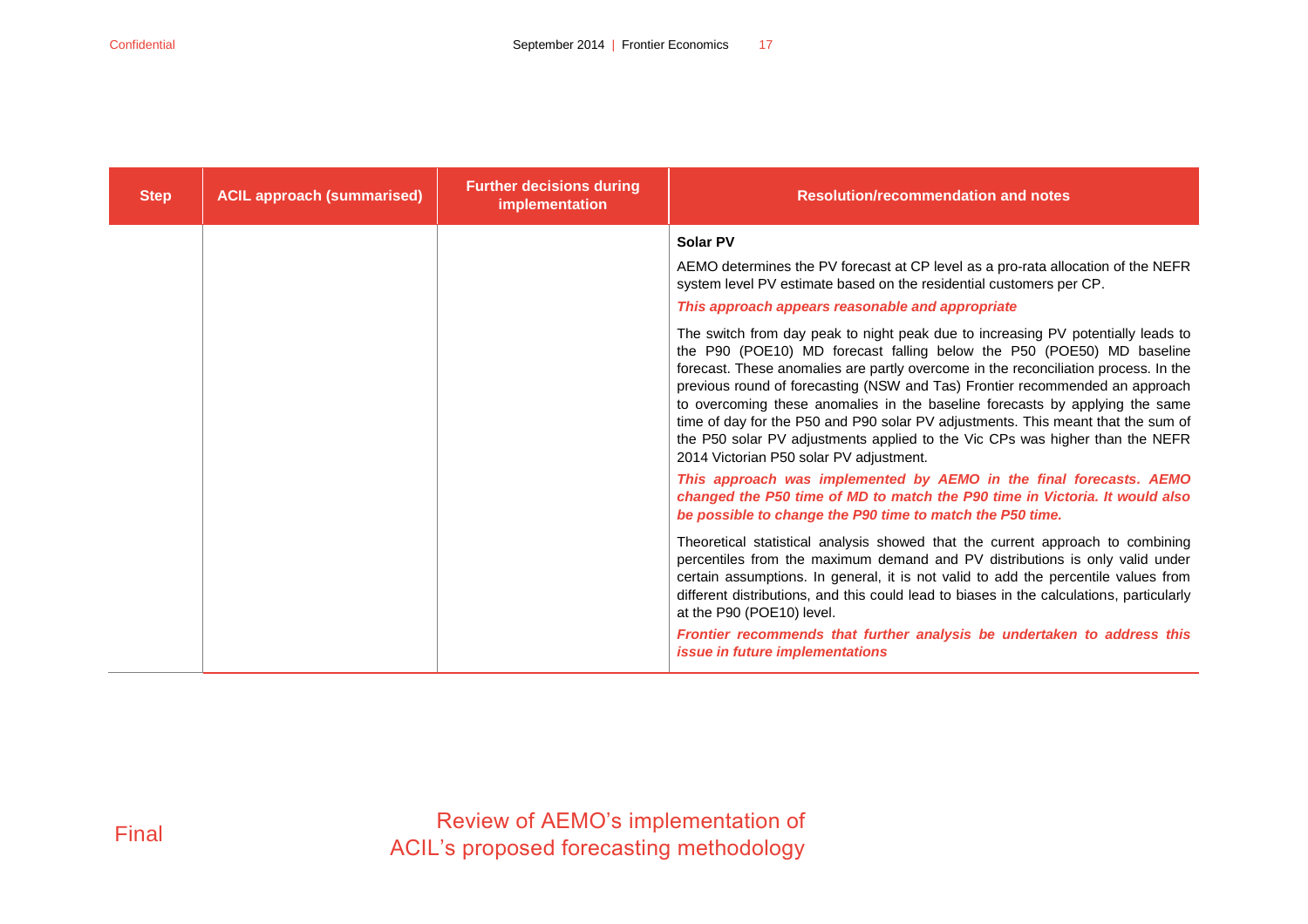| <b>Step</b> | <b>ACIL approach (summarised)</b> | <b>Further decisions during</b><br>implementation | <b>Resolution/recommendation and notes</b>                                                                                                                                                                                                                                                                                                                                                                                                                                                                                                                                                                                                                                                                                                                                                                                                                                                                                                                                                                             |
|-------------|-----------------------------------|---------------------------------------------------|------------------------------------------------------------------------------------------------------------------------------------------------------------------------------------------------------------------------------------------------------------------------------------------------------------------------------------------------------------------------------------------------------------------------------------------------------------------------------------------------------------------------------------------------------------------------------------------------------------------------------------------------------------------------------------------------------------------------------------------------------------------------------------------------------------------------------------------------------------------------------------------------------------------------------------------------------------------------------------------------------------------------|
|             |                                   |                                                   | <b>Solar PV</b><br>AEMO determines the PV forecast at CP level as a pro-rata allocation of the NEFR<br>system level PV estimate based on the residential customers per CP.<br>This approach appears reasonable and appropriate<br>The switch from day peak to night peak due to increasing PV potentially leads to<br>the P90 (POE10) MD forecast falling below the P50 (POE50) MD baseline<br>forecast. These anomalies are partly overcome in the reconciliation process. In the<br>previous round of forecasting (NSW and Tas) Frontier recommended an approach<br>to overcoming these anomalies in the baseline forecasts by applying the same<br>time of day for the P50 and P90 solar PV adjustments. This meant that the sum of<br>the P50 solar PV adjustments applied to the Vic CPs was higher than the NEFR<br>2014 Victorian P50 solar PV adjustment.<br>This approach was implemented by AEMO in the final forecasts. AEMO<br>changed the P50 time of MD to match the P90 time in Victoria. It would also |
|             |                                   |                                                   | be possible to change the P90 time to match the P50 time.<br>Theoretical statistical analysis showed that the current approach to combining<br>percentiles from the maximum demand and PV distributions is only valid under<br>certain assumptions. In general, it is not valid to add the percentile values from<br>different distributions, and this could lead to biases in the calculations, particularly<br>at the P90 (POE10) level.<br>Frontier recommends that further analysis be undertaken to address this<br>issue in future implementations                                                                                                                                                                                                                                                                                                                                                                                                                                                               |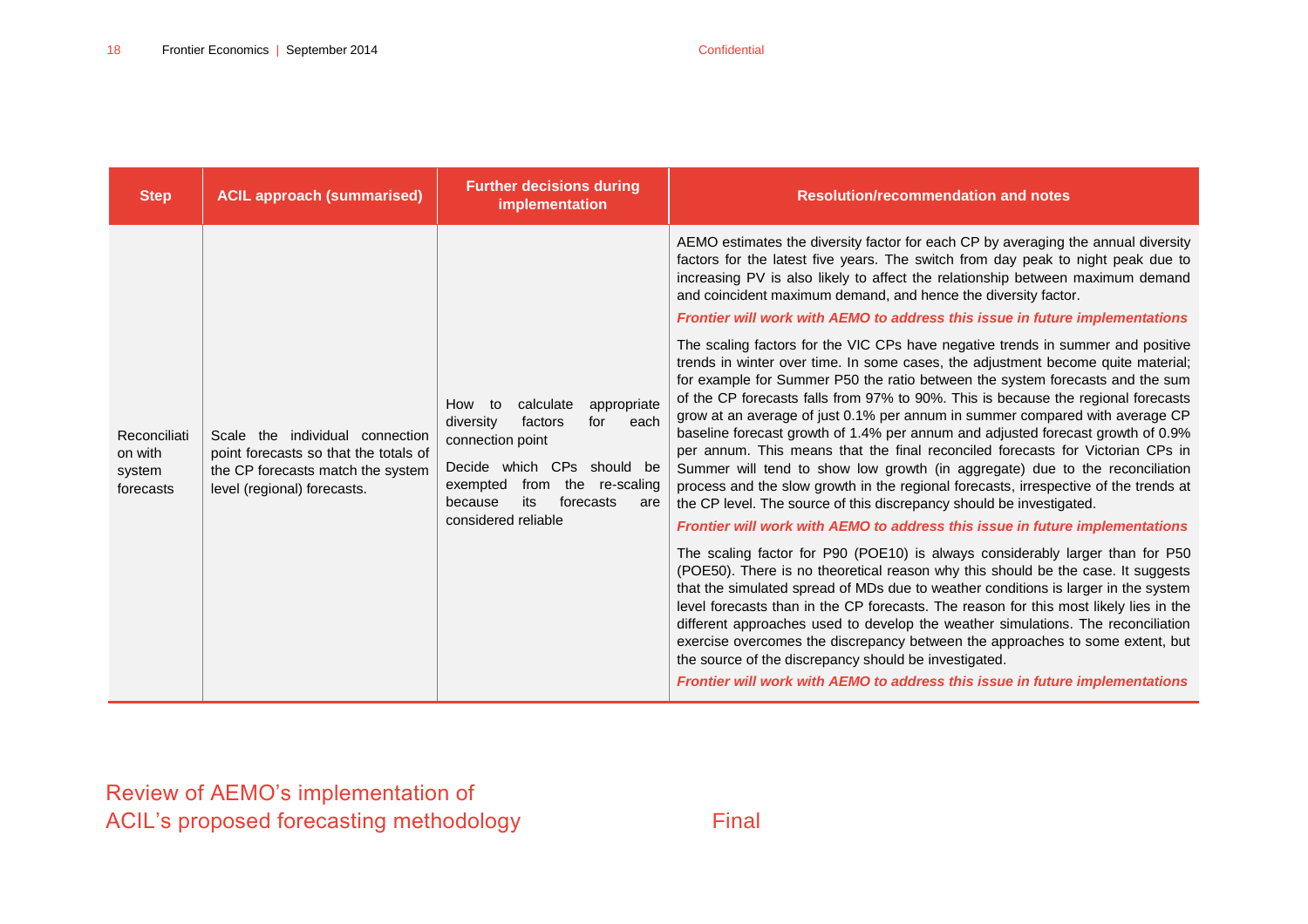| <b>Step</b>                                    | <b>ACIL approach (summarised)</b>                                                                                                                                                                                                                                                        | <b>Further decisions during</b><br>implementation                                                                                                                                                                                                                                                                                                                                                                                                                                                                                                                                                                                                              | <b>Resolution/recommendation and notes</b>                                                                                                                                                                                                                                                                                                                                                                                                                                                                                                                                                                                                                                                                                                                                                                                                                                                                                     |
|------------------------------------------------|------------------------------------------------------------------------------------------------------------------------------------------------------------------------------------------------------------------------------------------------------------------------------------------|----------------------------------------------------------------------------------------------------------------------------------------------------------------------------------------------------------------------------------------------------------------------------------------------------------------------------------------------------------------------------------------------------------------------------------------------------------------------------------------------------------------------------------------------------------------------------------------------------------------------------------------------------------------|--------------------------------------------------------------------------------------------------------------------------------------------------------------------------------------------------------------------------------------------------------------------------------------------------------------------------------------------------------------------------------------------------------------------------------------------------------------------------------------------------------------------------------------------------------------------------------------------------------------------------------------------------------------------------------------------------------------------------------------------------------------------------------------------------------------------------------------------------------------------------------------------------------------------------------|
| Reconciliati<br>on with<br>system<br>forecasts |                                                                                                                                                                                                                                                                                          |                                                                                                                                                                                                                                                                                                                                                                                                                                                                                                                                                                                                                                                                | AEMO estimates the diversity factor for each CP by averaging the annual diversity<br>factors for the latest five years. The switch from day peak to night peak due to<br>increasing PV is also likely to affect the relationship between maximum demand<br>and coincident maximum demand, and hence the diversity factor.<br><b>Frontier will work with AEMO to address this issue in future implementations</b>                                                                                                                                                                                                                                                                                                                                                                                                                                                                                                               |
|                                                | How to<br>calculate<br>for<br>diversity<br>factors<br>Scale the individual connection<br>connection point<br>point forecasts so that the totals of<br>the CP forecasts match the system<br>exempted<br>level (regional) forecasts.<br>its<br>because<br>forecasts<br>considered reliable | appropriate<br>each<br>Decide which CPs should be<br>from the re-scaling<br>are                                                                                                                                                                                                                                                                                                                                                                                                                                                                                                                                                                                | The scaling factors for the VIC CPs have negative trends in summer and positive<br>trends in winter over time. In some cases, the adjustment become quite material;<br>for example for Summer P50 the ratio between the system forecasts and the sum<br>of the CP forecasts falls from 97% to 90%. This is because the regional forecasts<br>grow at an average of just 0.1% per annum in summer compared with average CP<br>baseline forecast growth of 1.4% per annum and adjusted forecast growth of 0.9%<br>per annum. This means that the final reconciled forecasts for Victorian CPs in<br>Summer will tend to show low growth (in aggregate) due to the reconciliation<br>process and the slow growth in the regional forecasts, irrespective of the trends at<br>the CP level. The source of this discrepancy should be investigated.<br>Frontier will work with AEMO to address this issue in future implementations |
|                                                |                                                                                                                                                                                                                                                                                          | The scaling factor for P90 (POE10) is always considerably larger than for P50<br>(POE50). There is no theoretical reason why this should be the case. It suggests<br>that the simulated spread of MDs due to weather conditions is larger in the system<br>level forecasts than in the CP forecasts. The reason for this most likely lies in the<br>different approaches used to develop the weather simulations. The reconciliation<br>exercise overcomes the discrepancy between the approaches to some extent, but<br>the source of the discrepancy should be investigated.<br>Frontier will work with AEMO to address this issue in future implementations |                                                                                                                                                                                                                                                                                                                                                                                                                                                                                                                                                                                                                                                                                                                                                                                                                                                                                                                                |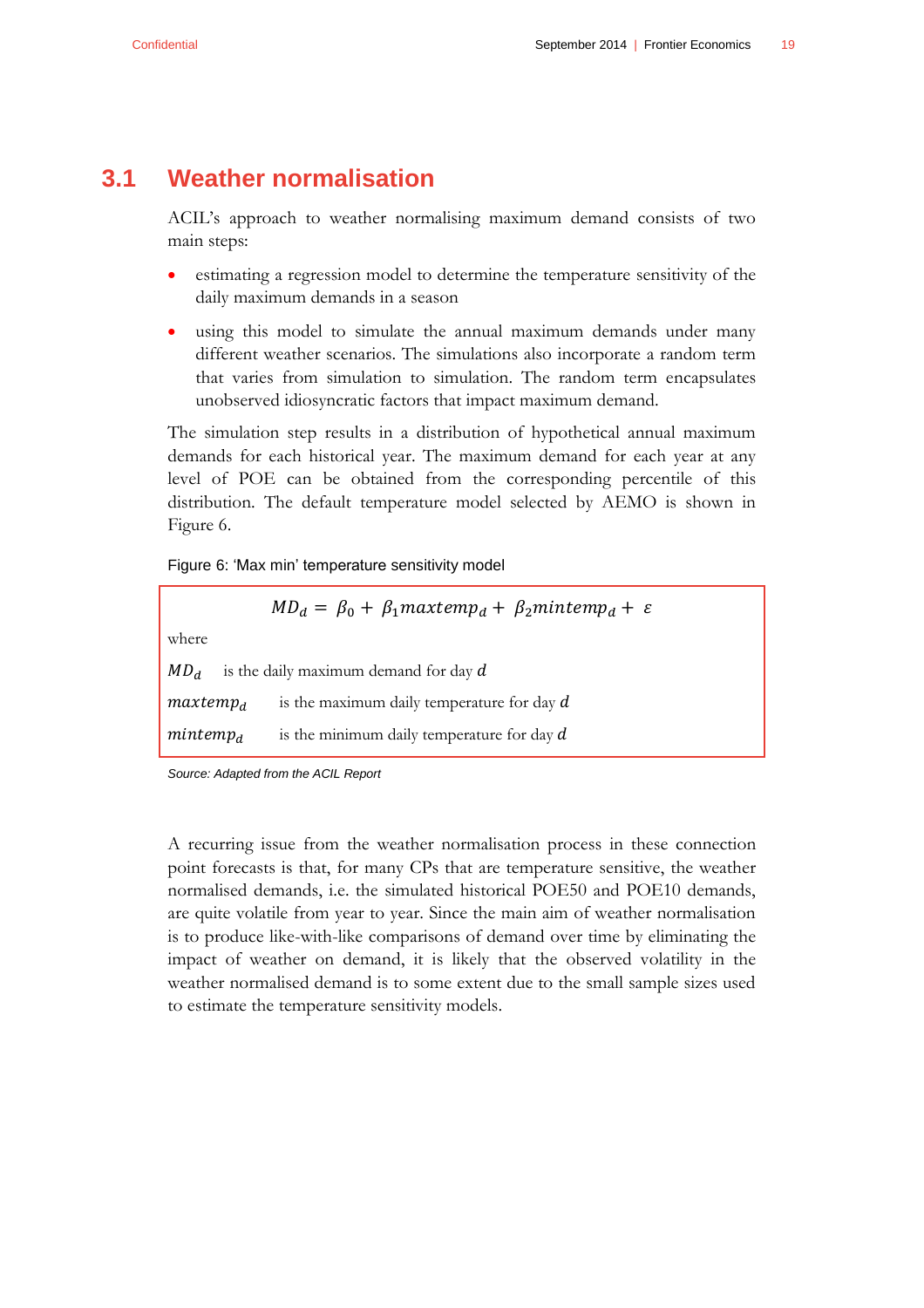### **3.1 Weather normalisation**

<span id="page-22-0"></span>ACIL's approach to weather normalising maximum demand consists of two main steps:

- estimating a regression model to determine the temperature sensitivity of the daily maximum demands in a season
- using this model to simulate the annual maximum demands under many different weather scenarios. The simulations also incorporate a random term that varies from simulation to simulation. The random term encapsulates unobserved idiosyncratic factors that impact maximum demand.

The simulation step results in a distribution of hypothetical annual maximum demands for each historical year. The maximum demand for each year at any level of POE can be obtained from the corresponding percentile of this distribution. The default temperature model selected by AEMO is shown in [Figure 6.](#page-22-1)

<span id="page-22-1"></span>Figure 6: 'Max min' temperature sensitivity model

|                 | $MD_d = \beta_0 + \beta_1$ maxtemp <sub>d</sub> + $\beta_2$ mintemp <sub>d</sub> + $\varepsilon$ |
|-----------------|--------------------------------------------------------------------------------------------------|
| where           |                                                                                                  |
| MD <sub>d</sub> | is the daily maximum demand for day $d$                                                          |
| $maxtemp_d$     | is the maximum daily temperature for day $d$                                                     |
| $m$ intem $p_d$ | is the minimum daily temperature for day $d$                                                     |

*Source: Adapted from the ACIL Report*

A recurring issue from the weather normalisation process in these connection point forecasts is that, for many CPs that are temperature sensitive, the weather normalised demands, i.e. the simulated historical POE50 and POE10 demands, are quite volatile from year to year. Since the main aim of weather normalisation is to produce like-with-like comparisons of demand over time by eliminating the impact of weather on demand, it is likely that the observed volatility in the weather normalised demand is to some extent due to the small sample sizes used to estimate the temperature sensitivity models.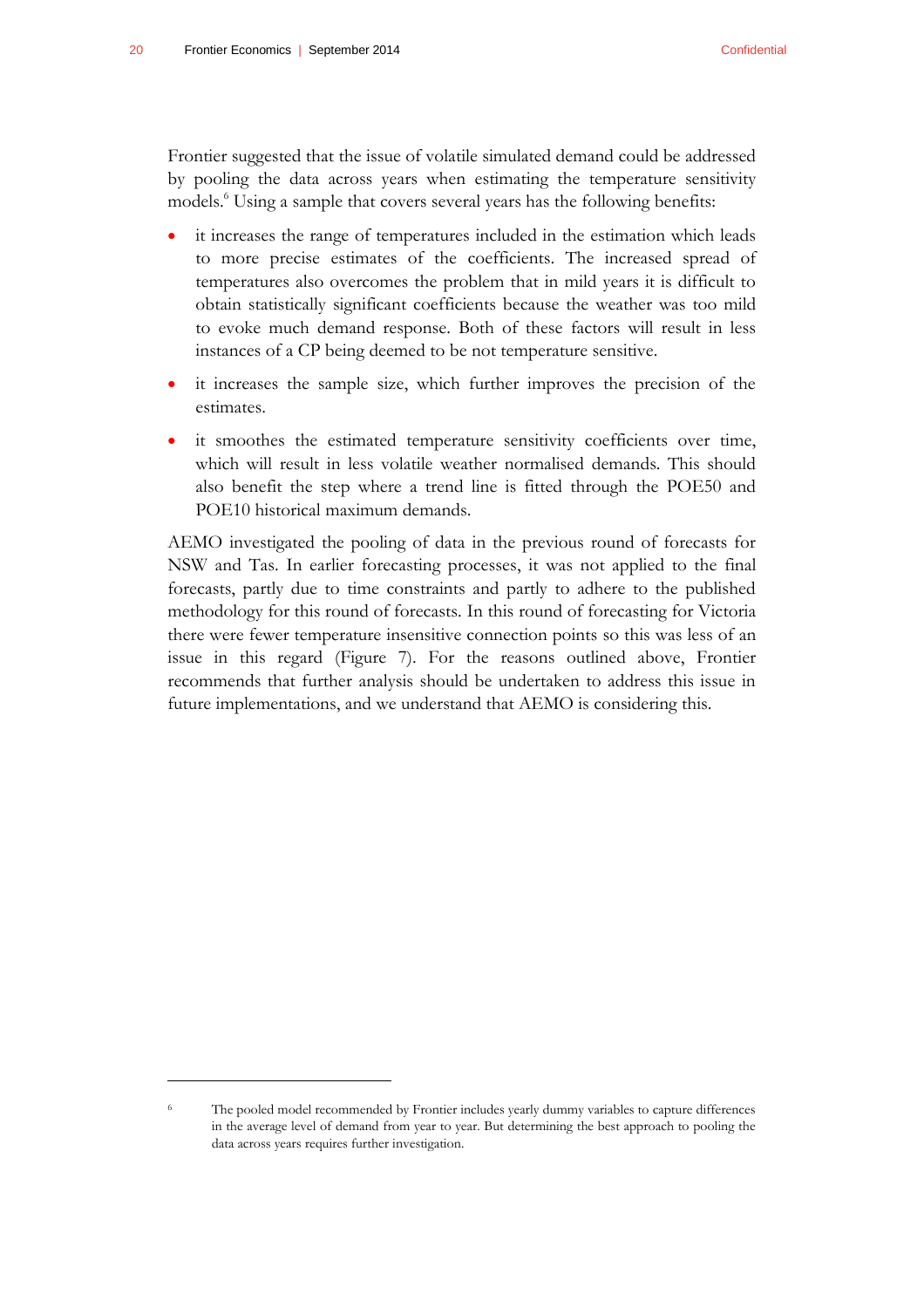$\overline{a}$ 

Frontier suggested that the issue of volatile simulated demand could be addressed by pooling the data across years when estimating the temperature sensitivity models.<sup>6</sup> Using a sample that covers several years has the following benefits:

- it increases the range of temperatures included in the estimation which leads to more precise estimates of the coefficients. The increased spread of temperatures also overcomes the problem that in mild years it is difficult to obtain statistically significant coefficients because the weather was too mild to evoke much demand response. Both of these factors will result in less instances of a CP being deemed to be not temperature sensitive.
- it increases the sample size, which further improves the precision of the estimates.
- it smoothes the estimated temperature sensitivity coefficients over time, which will result in less volatile weather normalised demands. This should also benefit the step where a trend line is fitted through the POE50 and POE10 historical maximum demands.

AEMO investigated the pooling of data in the previous round of forecasts for NSW and Tas. In earlier forecasting processes, it was not applied to the final forecasts, partly due to time constraints and partly to adhere to the published methodology for this round of forecasts. In this round of forecasting for Victoria there were fewer temperature insensitive connection points so this was less of an issue in this regard [\(Figure 7\)](#page-24-1). For the reasons outlined above, Frontier recommends that further analysis should be undertaken to address this issue in future implementations, and we understand that AEMO is considering this.

The pooled model recommended by Frontier includes yearly dummy variables to capture differences in the average level of demand from year to year. But determining the best approach to pooling the data across years requires further investigation.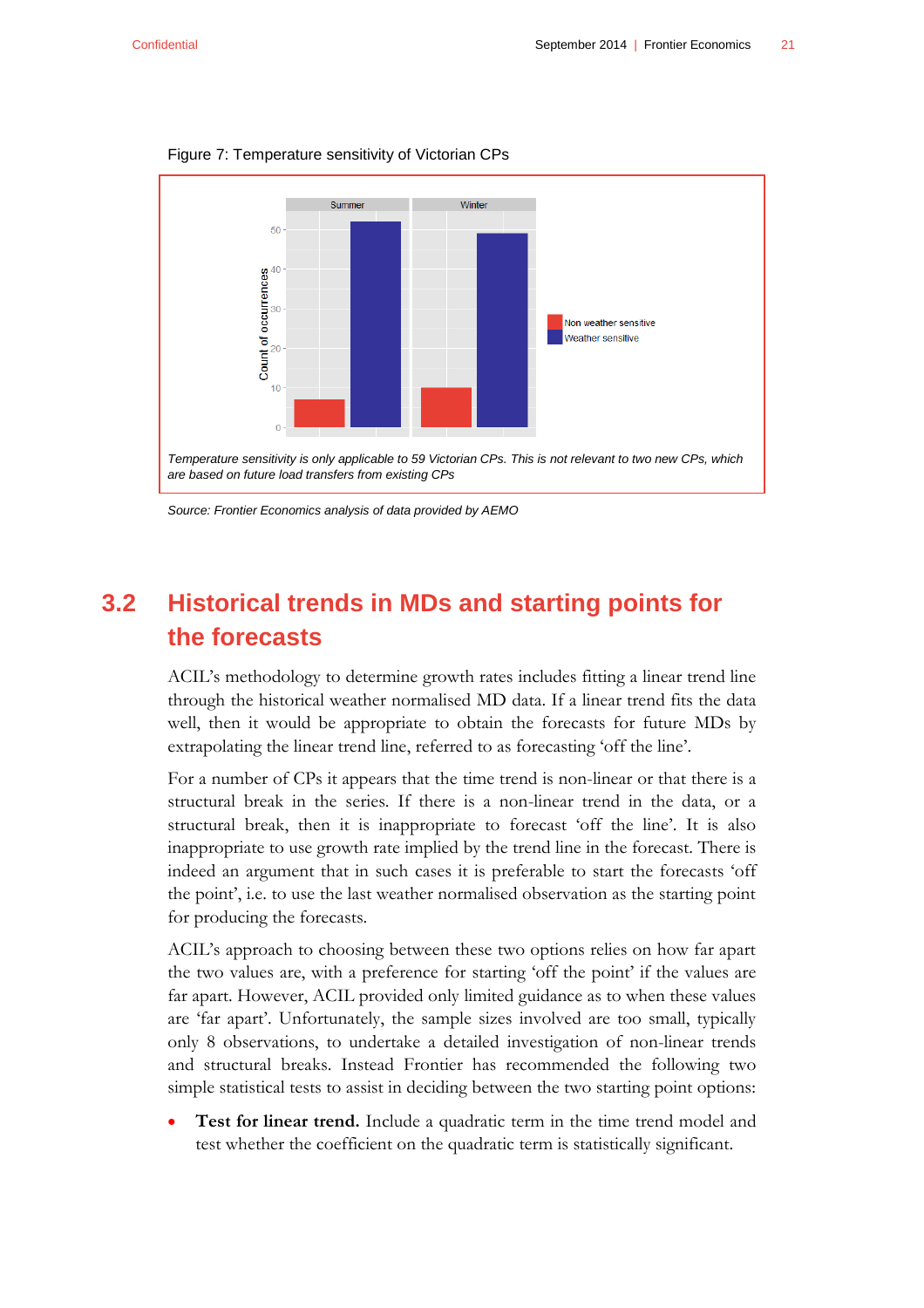

<span id="page-24-1"></span>Figure 7: Temperature sensitivity of Victorian CPs

*Source: Frontier Economics analysis of data provided by AEMO*

## <span id="page-24-0"></span>**3.2 Historical trends in MDs and starting points for the forecasts**

ACIL's methodology to determine growth rates includes fitting a linear trend line through the historical weather normalised MD data. If a linear trend fits the data well, then it would be appropriate to obtain the forecasts for future MDs by extrapolating the linear trend line, referred to as forecasting 'off the line'.

For a number of CPs it appears that the time trend is non-linear or that there is a structural break in the series. If there is a non-linear trend in the data, or a structural break, then it is inappropriate to forecast 'off the line'. It is also inappropriate to use growth rate implied by the trend line in the forecast. There is indeed an argument that in such cases it is preferable to start the forecasts 'off the point', i.e. to use the last weather normalised observation as the starting point for producing the forecasts.

ACIL's approach to choosing between these two options relies on how far apart the two values are, with a preference for starting 'off the point' if the values are far apart. However, ACIL provided only limited guidance as to when these values are 'far apart'. Unfortunately, the sample sizes involved are too small, typically only 8 observations, to undertake a detailed investigation of non-linear trends and structural breaks. Instead Frontier has recommended the following two simple statistical tests to assist in deciding between the two starting point options:

 **Test for linear trend.** Include a quadratic term in the time trend model and test whether the coefficient on the quadratic term is statistically significant.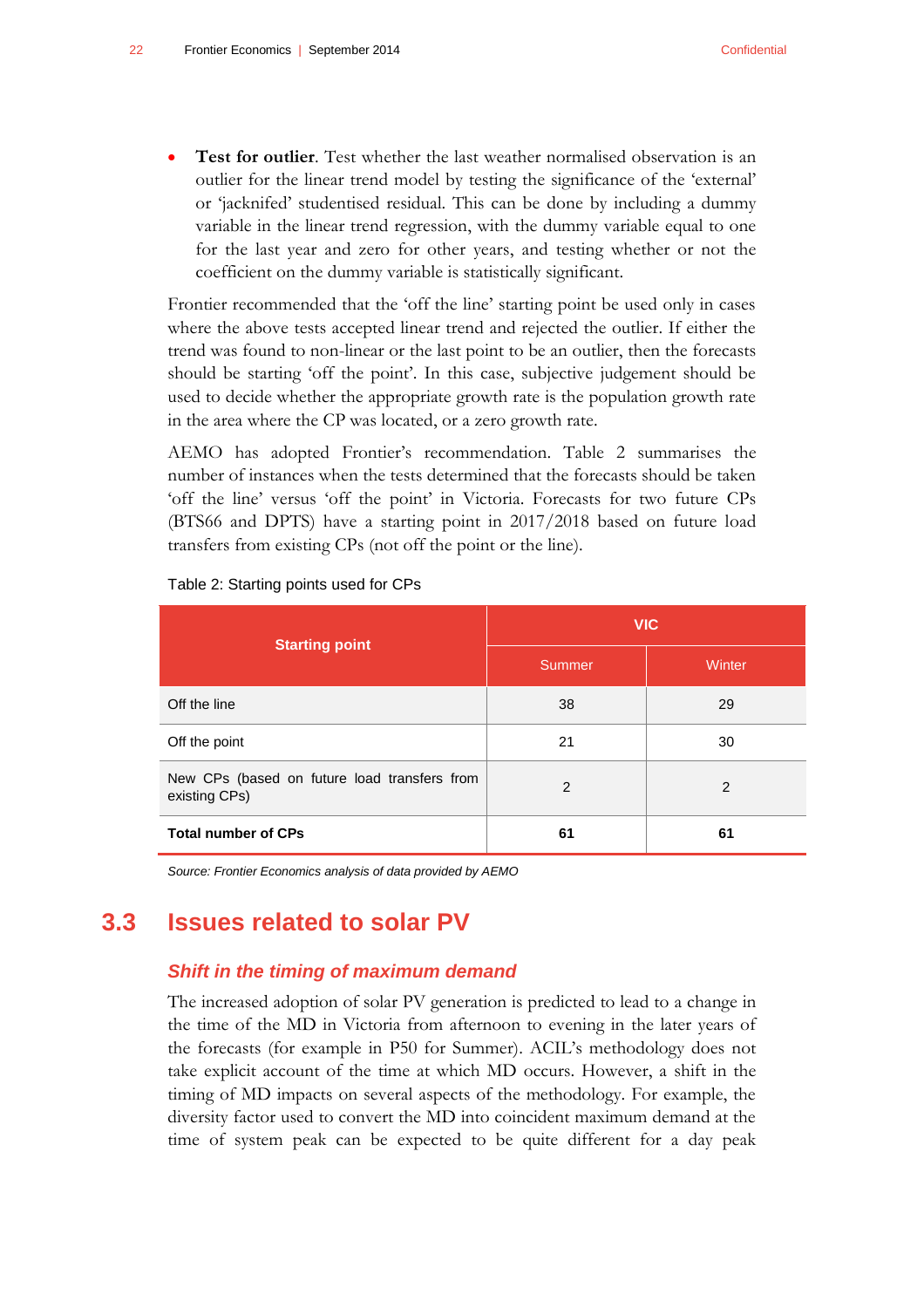**Test for outlier**. Test whether the last weather normalised observation is an outlier for the linear trend model by testing the significance of the 'external' or 'jacknifed' studentised residual. This can be done by including a dummy variable in the linear trend regression, with the dummy variable equal to one for the last year and zero for other years, and testing whether or not the coefficient on the dummy variable is statistically significant.

Frontier recommended that the 'off the line' starting point be used only in cases where the above tests accepted linear trend and rejected the outlier. If either the trend was found to non-linear or the last point to be an outlier, then the forecasts should be starting 'off the point'. In this case, subjective judgement should be used to decide whether the appropriate growth rate is the population growth rate in the area where the CP was located, or a zero growth rate.

AEMO has adopted Frontier's recommendation. [Table 2](#page-25-1) summarises the number of instances when the tests determined that the forecasts should be taken 'off the line' versus 'off the point' in Victoria. Forecasts for two future CPs (BTS66 and DPTS) have a starting point in 2017/2018 based on future load transfers from existing CPs (not off the point or the line).

| <b>Starting point</b>                                         | <b>VIC</b>     |        |  |
|---------------------------------------------------------------|----------------|--------|--|
|                                                               | Summer         | Winter |  |
| Off the line                                                  | 38             | 29     |  |
| Off the point                                                 | 21             | 30     |  |
| New CPs (based on future load transfers from<br>existing CPs) | $\overline{2}$ | 2      |  |
| <b>Total number of CPs</b>                                    | 61             | 61     |  |

#### <span id="page-25-1"></span>Table 2: Starting points used for CPs

<span id="page-25-0"></span>*Source: Frontier Economics analysis of data provided by AEMO*

### **3.3 Issues related to solar PV**

#### *Shift in the timing of maximum demand*

The increased adoption of solar PV generation is predicted to lead to a change in the time of the MD in Victoria from afternoon to evening in the later years of the forecasts (for example in P50 for Summer). ACIL's methodology does not take explicit account of the time at which MD occurs. However, a shift in the timing of MD impacts on several aspects of the methodology. For example, the diversity factor used to convert the MD into coincident maximum demand at the time of system peak can be expected to be quite different for a day peak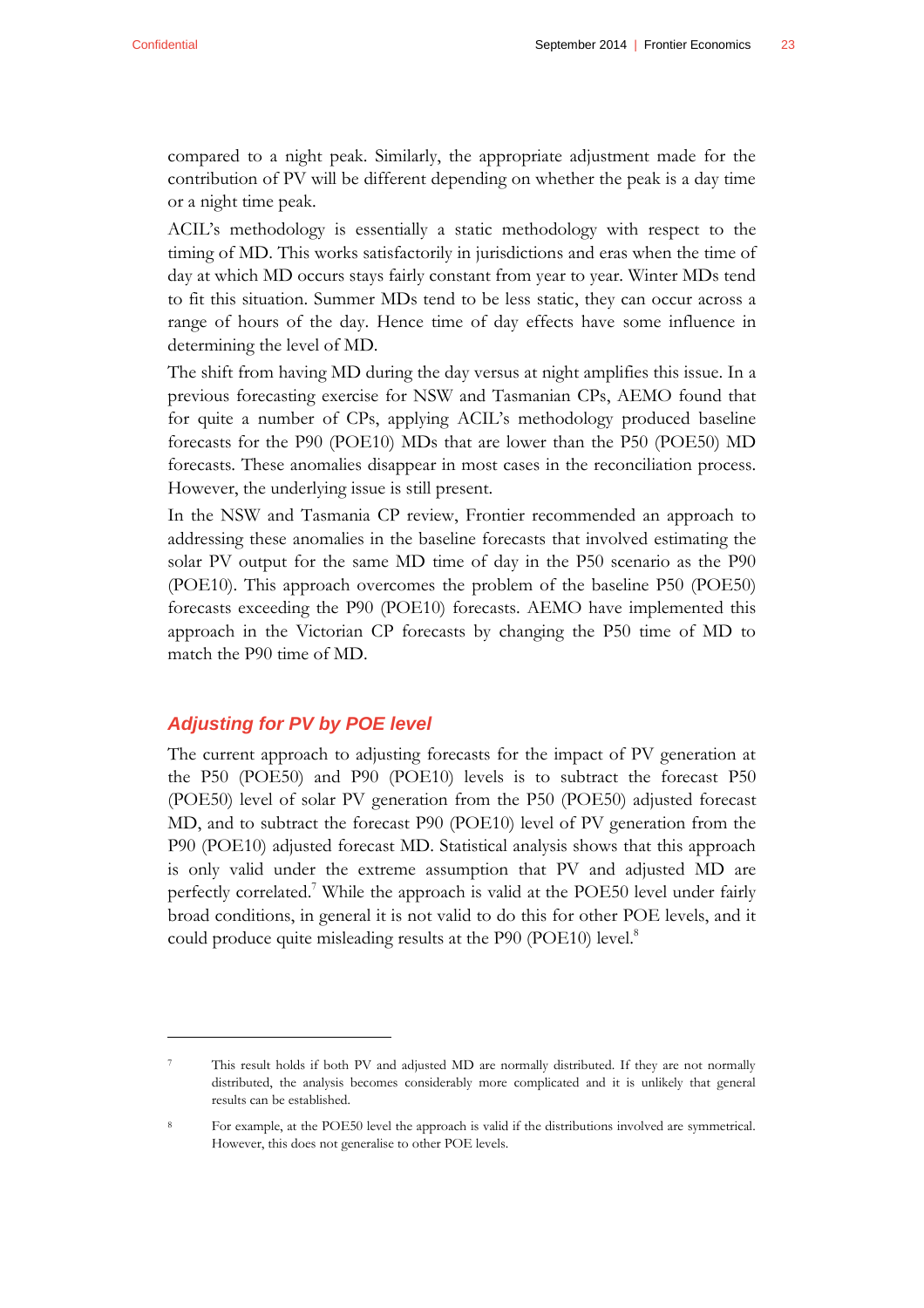compared to a night peak. Similarly, the appropriate adjustment made for the contribution of PV will be different depending on whether the peak is a day time or a night time peak.

ACIL's methodology is essentially a static methodology with respect to the timing of MD. This works satisfactorily in jurisdictions and eras when the time of day at which MD occurs stays fairly constant from year to year. Winter MDs tend to fit this situation. Summer MDs tend to be less static, they can occur across a range of hours of the day. Hence time of day effects have some influence in determining the level of MD.

The shift from having MD during the day versus at night amplifies this issue. In a previous forecasting exercise for NSW and Tasmanian CPs, AEMO found that for quite a number of CPs, applying ACIL's methodology produced baseline forecasts for the P90 (POE10) MDs that are lower than the P50 (POE50) MD forecasts. These anomalies disappear in most cases in the reconciliation process. However, the underlying issue is still present.

In the NSW and Tasmania CP review, Frontier recommended an approach to addressing these anomalies in the baseline forecasts that involved estimating the solar PV output for the same MD time of day in the P50 scenario as the P90 (POE10). This approach overcomes the problem of the baseline P50 (POE50) forecasts exceeding the P90 (POE10) forecasts. AEMO have implemented this approach in the Victorian CP forecasts by changing the P50 time of MD to match the P90 time of MD.

#### *Adjusting for PV by POE level*

 $\overline{a}$ 

The current approach to adjusting forecasts for the impact of PV generation at the P50 (POE50) and P90 (POE10) levels is to subtract the forecast P50 (POE50) level of solar PV generation from the P50 (POE50) adjusted forecast MD, and to subtract the forecast P90 (POE10) level of PV generation from the P90 (POE10) adjusted forecast MD. Statistical analysis shows that this approach is only valid under the extreme assumption that PV and adjusted MD are perfectly correlated.<sup>7</sup> While the approach is valid at the POE50 level under fairly broad conditions, in general it is not valid to do this for other POE levels, and it could produce quite misleading results at the P90 (POE10) level.<sup>8</sup>

<sup>7</sup> This result holds if both PV and adjusted MD are normally distributed. If they are not normally distributed, the analysis becomes considerably more complicated and it is unlikely that general results can be established.

<sup>8</sup> For example, at the POE50 level the approach is valid if the distributions involved are symmetrical. However, this does not generalise to other POE levels.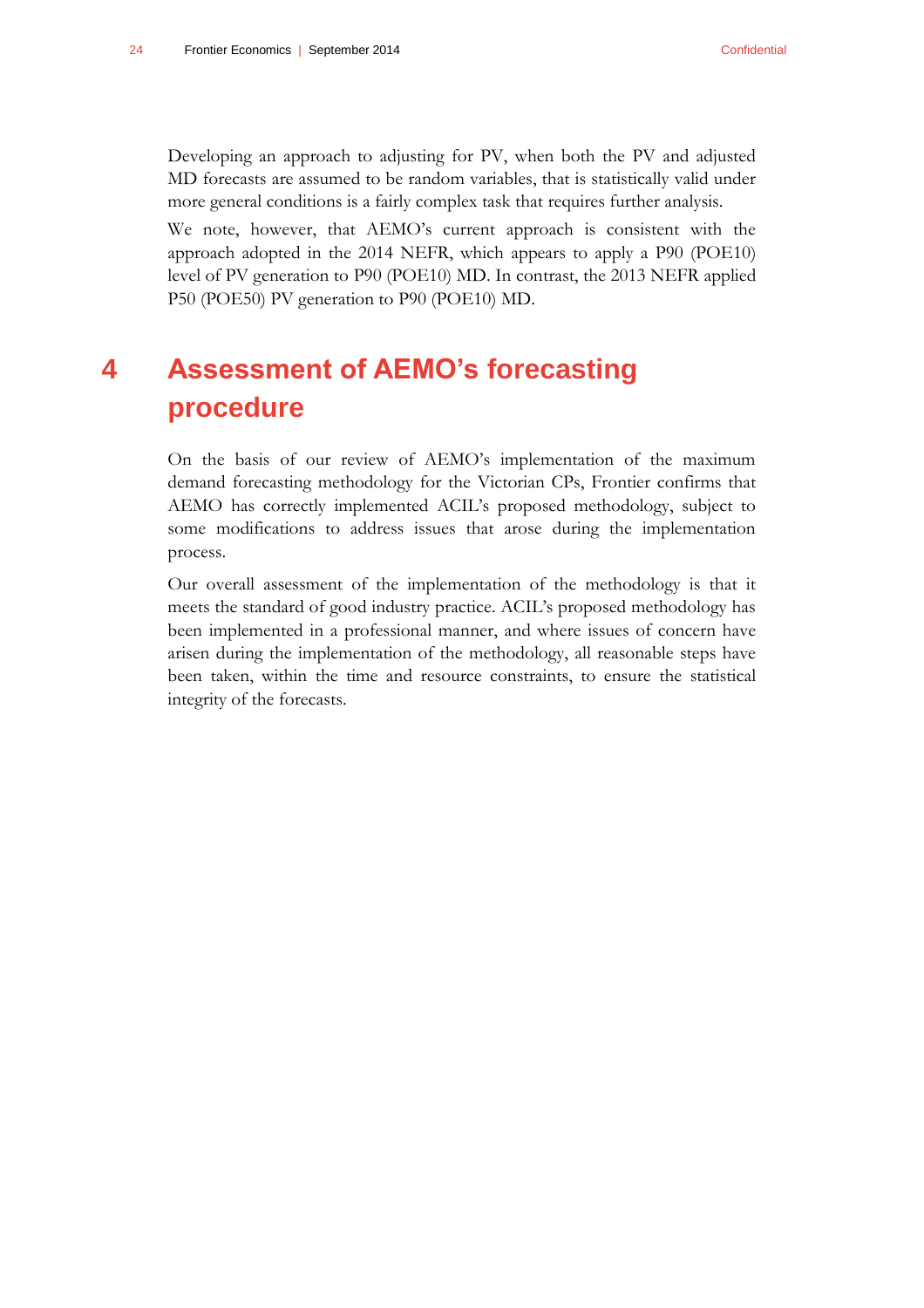Developing an approach to adjusting for PV, when both the PV and adjusted MD forecasts are assumed to be random variables, that is statistically valid under more general conditions is a fairly complex task that requires further analysis.

We note, however, that AEMO's current approach is consistent with the approach adopted in the 2014 NEFR, which appears to apply a P90 (POE10) level of PV generation to P90 (POE10) MD. In contrast, the 2013 NEFR applied P50 (POE50) PV generation to P90 (POE10) MD.

## <span id="page-27-0"></span>**4 Assessment of AEMO's forecasting procedure**

On the basis of our review of AEMO's implementation of the maximum demand forecasting methodology for the Victorian CPs, Frontier confirms that AEMO has correctly implemented ACIL's proposed methodology, subject to some modifications to address issues that arose during the implementation process.

Our overall assessment of the implementation of the methodology is that it meets the standard of good industry practice. ACIL's proposed methodology has been implemented in a professional manner, and where issues of concern have arisen during the implementation of the methodology, all reasonable steps have been taken, within the time and resource constraints, to ensure the statistical integrity of the forecasts.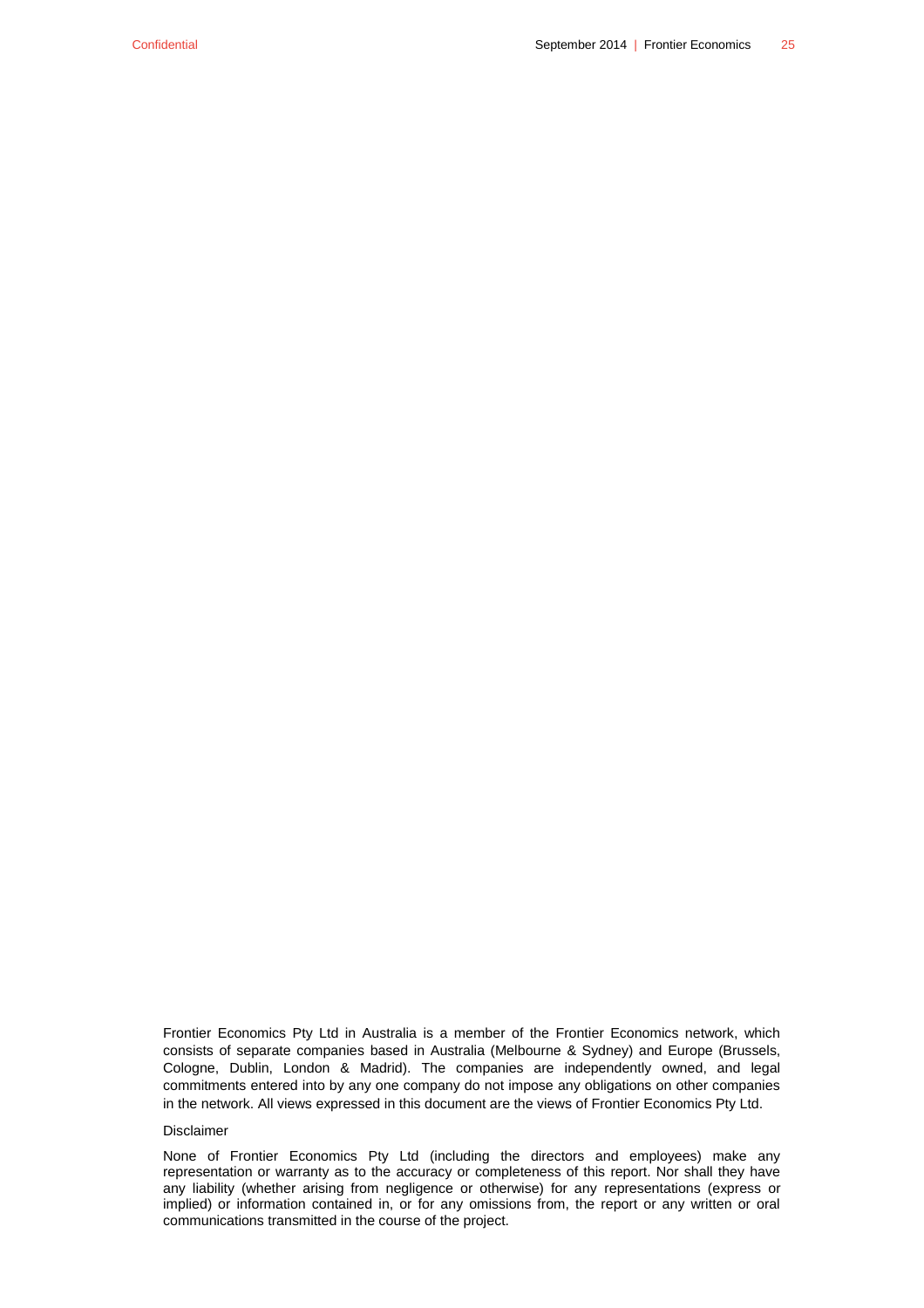Frontier Economics Pty Ltd in Australia is a member of the Frontier Economics network, which consists of separate companies based in Australia (Melbourne & Sydney) and Europe (Brussels, Cologne, Dublin, London & Madrid). The companies are independently owned, and legal commitments entered into by any one company do not impose any obligations on other companies in the network. All views expressed in this document are the views of Frontier Economics Pty Ltd.

#### Disclaimer

None of Frontier Economics Pty Ltd (including the directors and employees) make any representation or warranty as to the accuracy or completeness of this report. Nor shall they have any liability (whether arising from negligence or otherwise) for any representations (express or implied) or information contained in, or for any omissions from, the report or any written or oral communications transmitted in the course of the project.